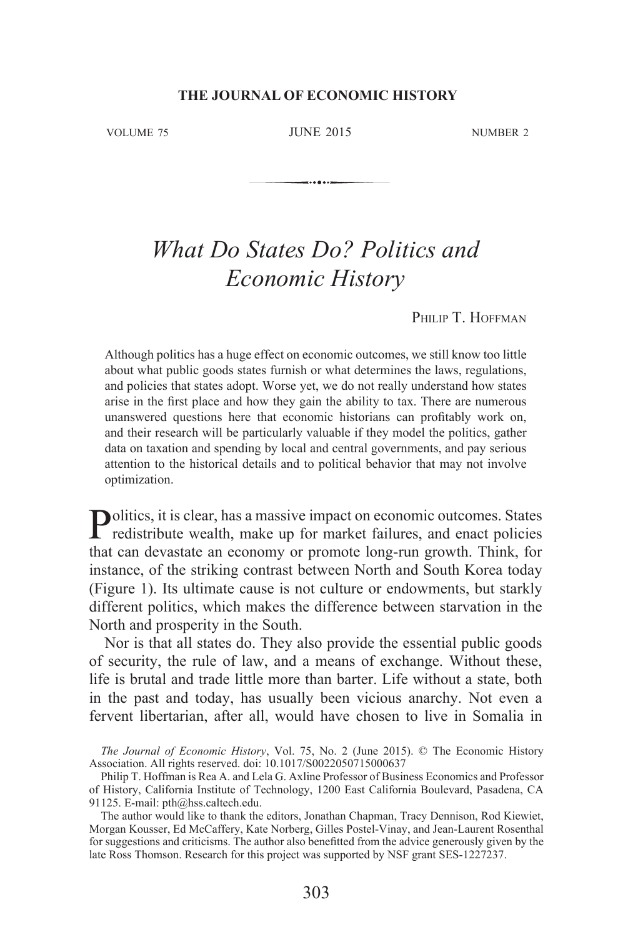VOLUME 75 JUNE 2015 NUMBER 2

. . . . . .

# *What Do States Do? Politics and Economic History*

PHILIP T. HOFFMAN

Although politics has a huge effect on economic outcomes, we still know too little about what public goods states furnish or what determines the laws, regulations, and policies that states adopt. Worse yet, we do not really understand how states arise in the first place and how they gain the ability to tax. There are numerous unanswered questions here that economic historians can profitably work on, and their research will be particularly valuable if they model the politics, gather data on taxation and spending by local and central governments, and pay serious attention to the historical details and to political behavior that may not involve optimization.

Politics, it is clear, has a massive impact on economic outcomes. States redistribute wealth, make up for market failures, and enact policies that can devastate an economy or promote long-run growth. Think, for instance, of the striking contrast between North and South Korea today (Figure 1). Its ultimate cause is not culture or endowments, but starkly different politics, which makes the difference between starvation in the North and prosperity in the South.

Nor is that all states do. They also provide the essential public goods of security, the rule of law, and a means of exchange. Without these, life is brutal and trade little more than barter. Life without a state, both in the past and today, has usually been vicious anarchy. Not even a fervent libertarian, after all, would have chosen to live in Somalia in

The Journal of Economic History, Vol. 75, No. 2 (June 2015). © The Economic History Association. All rights reserved. doi: 10.1017/S0022050715000637

Philip T. Hoffman is Rea A. and Lela G. Axline Professor of Business Economics and Professor of History, California Institute of Technology, 1200 East California Boulevard, Pasadena, CA 91125. E-mail: pth@hss.caltech.edu.

The author would like to thank the editors, Jonathan Chapman, Tracy Dennison, Rod Kiewiet, Morgan Kousser, Ed McCaffery, Kate Norberg, Gilles Postel-Vinay, and Jean-Laurent Rosenthal for suggestions and criticisms. The author also benefitted from the advice generously given by the late Ross Thomson. Research for this project was supported by NSF grant SES-1227237.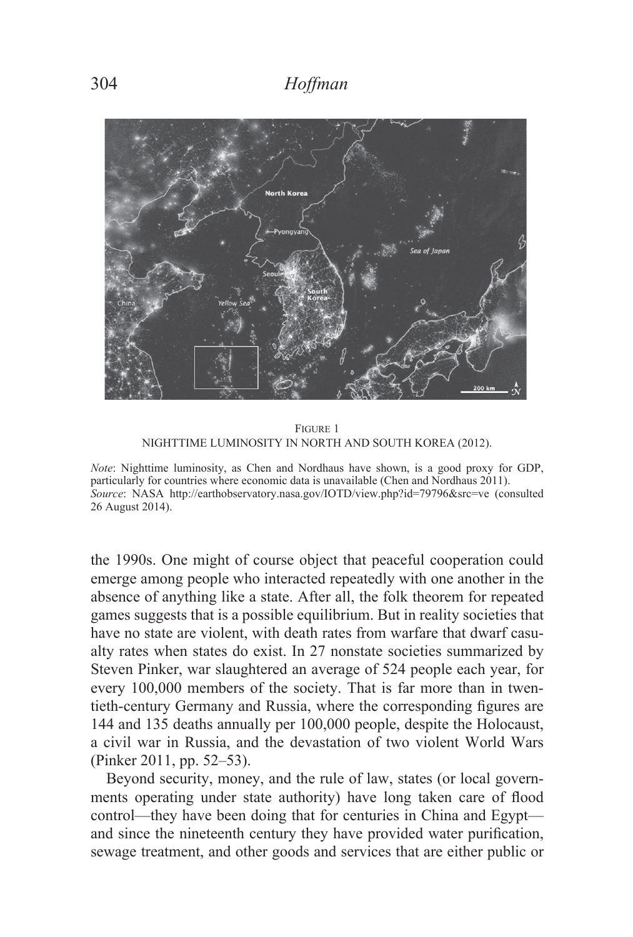

FIGURE 1 NIGHTTIME LUMINOSITY IN NORTH AND SOUTH KOREA (2012).

*Note*: Nighttime luminosity, as Chen and Nordhaus have shown, is a good proxy for GDP, particularly for countries where economic data is unavailable (Chen and Nordhaus 2011). Source: NASA http://earthobservatory.nasa.gov/IOTD/view.php?id=79796&src=ve (consulted 26 August 2014).

the 1990s. One might of course object that peaceful cooperation could emerge among people who interacted repeatedly with one another in the absence of anything like a state. After all, the folk theorem for repeated games suggests that is a possible equilibrium. But in reality societies that have no state are violent, with death rates from warfare that dwarf casualty rates when states do exist. In 27 nonstate societies summarized by Steven Pinker, war slaughtered an average of 524 people each year, for every 100,000 members of the society. That is far more than in twentieth-century Germany and Russia, where the corresponding figures are 144 and 135 deaths annually per 100,000 people, despite the Holocaust, a civil war in Russia, and the devastation of two violent World Wars (Pinker 2011, pp. 52–53).

Beyond security, money, and the rule of law, states (or local governments operating under state authority) have long taken care of flood control—they have been doing that for centuries in China and Egypt and since the nineteenth century they have provided water purification, sewage treatment, and other goods and services that are either public or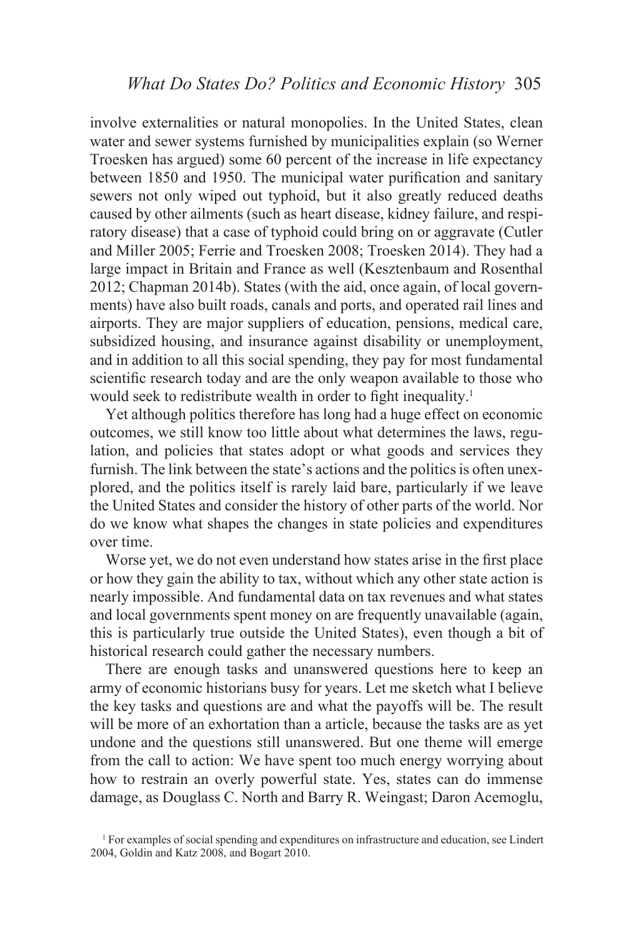involve externalities or natural monopolies. In the United States, clean water and sewer systems furnished by municipalities explain (so Werner Troesken has argued) some 60 percent of the increase in life expectancy between 1850 and 1950. The municipal water purification and sanitary sewers not only wiped out typhoid, but it also greatly reduced deaths caused by other ailments (such as heart disease, kidney failure, and respiratory disease) that a case of typhoid could bring on or aggravate (Cutler and Miller 2005; Ferrie and Troesken 2008; Troesken 2014). They had a large impact in Britain and France as well (Kesztenbaum and Rosenthal  $2012$ ; Chapman  $2014b$ ). States (with the aid, once again, of local governments) have also built roads, canals and ports, and operated rail lines and airports. They are major suppliers of education, pensions, medical care, subsidized housing, and insurance against disability or unemployment, and in addition to all this social spending, they pay for most fundamental scientific research today and are the only weapon available to those who would seek to redistribute wealth in order to fight inequality.<sup>1</sup>

Yet although politics therefore has long had a huge effect on economic outcomes, we still know too little about what determines the laws, regulation, and policies that states adopt or what goods and services they furnish. The link between the state's actions and the politics is often unexplored, and the politics itself is rarely laid bare, particularly if we leave the United States and consider the history of other parts of the world. Nor do we know what shapes the changes in state policies and expenditures over time.

Worse yet, we do not even understand how states arise in the first place or how they gain the ability to tax, without which any other state action is nearly impossible. And fundamental data on tax revenues and what states and local governments spent money on are frequently unavailable (again, this is particularly true outside the United States), even though a bit of historical research could gather the necessary numbers.

There are enough tasks and unanswered questions here to keep an army of economic historians busy for years. Let me sketch what I believe the key tasks and questions are and what the payoffs will be. The result will be more of an exhortation than a article, because the tasks are as yet undone and the questions still unanswered. But one theme will emerge from the call to action: We have spent too much energy worrying about how to restrain an overly powerful state. Yes, states can do immense damage, as Douglass C. North and Barry R. Weingast; Daron Acemoglu,

<sup>&</sup>lt;sup>1</sup> For examples of social spending and expenditures on infrastructure and education, see Lindert 2004, Goldin and Katz 2008, and Bogart 2010.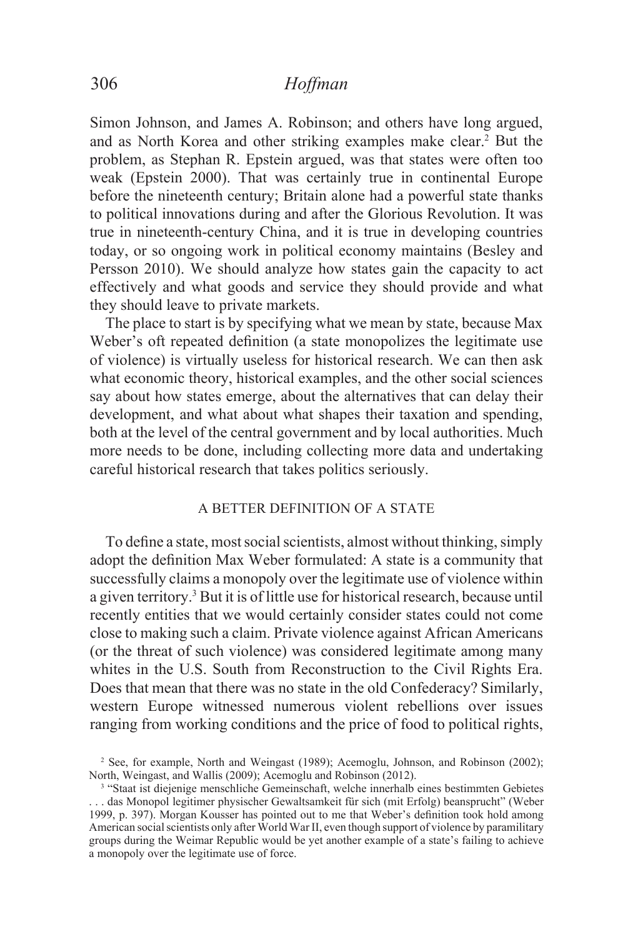Simon Johnson, and James A. Robinson; and others have long argued, and as North Korea and other striking examples make clear.<sup>2</sup> But the problem, as Stephan R. Epstein argued, was that states were often too weak (Epstein 2000). That was certainly true in continental Europe before the nineteenth century; Britain alone had a powerful state thanks to political innovations during and after the Glorious Revolution. It was true in nineteenth-century China, and it is true in developing countries today, or so ongoing work in political economy maintains (Besley and Persson 2010). We should analyze how states gain the capacity to act effectively and what goods and service they should provide and what they should leave to private markets.

The place to start is by specifying what we mean by state, because Max Weber's oft repeated definition (a state monopolizes the legitimate use of violence) is virtually useless for historical research. We can then ask what economic theory, historical examples, and the other social sciences say about how states emerge, about the alternatives that can delay their development, and what about what shapes their taxation and spending, both at the level of the central government and by local authorities. Much more needs to be done, including collecting more data and undertaking careful historical research that takes politics seriously.

### A BETTER DEFINITION OF A STATE

To define a state, most social scientists, almost without thinking, simply adopt the definition Max Weber formulated: A state is a community that successfully claims a monopoly over the legitimate use of violence within a given territory.3 But it is of little use for historical research, because until recently entities that we would certainly consider states could not come close to making such a claim. Private violence against African Americans (or the threat of such violence) was considered legitimate among many whites in the U.S. South from Reconstruction to the Civil Rights Era. Does that mean that there was no state in the old Confederacy? Similarly, western Europe witnessed numerous violent rebellions over issues ranging from working conditions and the price of food to political rights,

 $^2$  See, for example, North and Weingast (1989); Acemoglu, Johnson, and Robinson (2002); North, Weingast, and Wallis (2009); Acemoglu and Robinson (2012).

<sup>&</sup>lt;sup>3</sup> "Staat ist diejenige menschliche Gemeinschaft, welche innerhalb eines bestimmten Gebietes . . . das Monopol legitimer physischer Gewaltsamkeit für sich (mit Erfolg) beansprucht" (Weber 1999, p. 397). Morgan Kousser has pointed out to me that Weber's definition took hold among American social scientists only after World War II, even though support of violence by paramilitary groups during the Weimar Republic would be yet another example of a state's failing to achieve a monopoly over the legitimate use of force.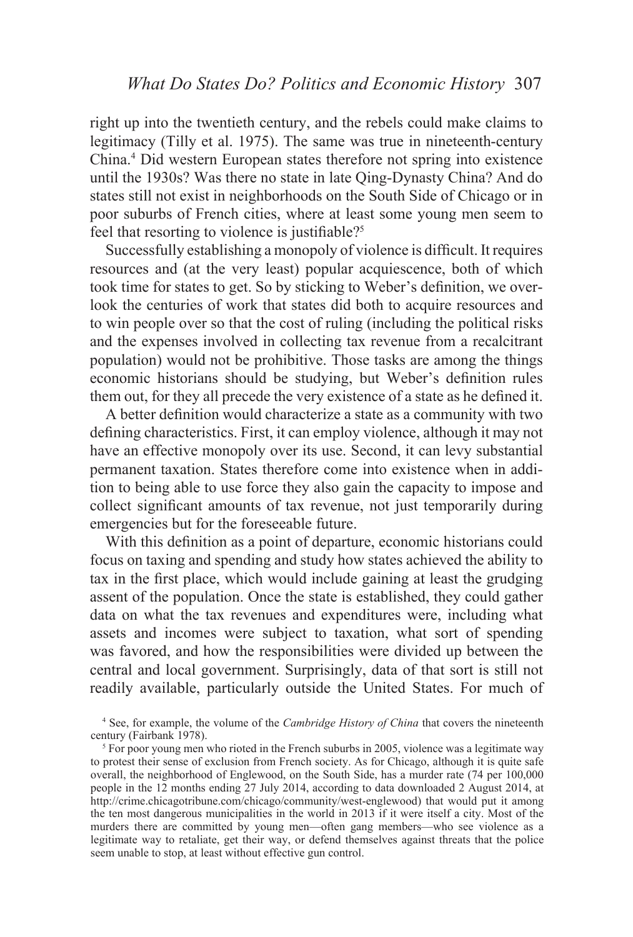right up into the twentieth century, and the rebels could make claims to legitimacy (Tilly et al. 1975). The same was true in nineteenth-century China.<sup>4</sup> Did western European states therefore not spring into existence until the 1930s? Was there no state in late Qing-Dynasty China? And do states still not exist in neighborhoods on the South Side of Chicago or in poor suburbs of French cities, where at least some young men seem to feel that resorting to violence is justifiable?<sup>5</sup>

Successfully establishing a monopoly of violence is difficult. It requires resources and (at the very least) popular acquiescence, both of which took time for states to get. So by sticking to Weber's definition, we overlook the centuries of work that states did both to acquire resources and to win people over so that the cost of ruling (including the political risks and the expenses involved in collecting tax revenue from a recalcitrant population) would not be prohibitive. Those tasks are among the things economic historians should be studying, but Weber's definition rules them out, for they all precede the very existence of a state as he defined it.

A better definition would characterize a state as a community with two defining characteristics. First, it can employ violence, although it may not have an effective monopoly over its use. Second, it can levy substantial permanent taxation. States therefore come into existence when in addition to being able to use force they also gain the capacity to impose and collect significant amounts of tax revenue, not just temporarily during emergencies but for the foreseeable future.

With this definition as a point of departure, economic historians could focus on taxing and spending and study how states achieved the ability to tax in the first place, which would include gaining at least the grudging assent of the population. Once the state is established, they could gather data on what the tax revenues and expenditures were, including what assets and incomes were subject to taxation, what sort of spending was favored, and how the responsibilities were divided up between the central and local government. Surprisingly, data of that sort is still not readily available, particularly outside the United States. For much of

<sup>4</sup> See, for example, the volume of the *Cambridge History of China* that covers the nineteenth century (Fairbank 1978).

<sup>5</sup> For poor young men who rioted in the French suburbs in 2005, violence was a legitimate way to protest their sense of exclusion from French society. As for Chicago, although it is quite safe overall, the neighborhood of Englewood, on the South Side, has a murder rate (74 per 100,000 people in the 12 months ending 27 July 2014, according to data downloaded 2 August 2014, at http://crime.chicagotribune.com/chicago/community/west-englewood) that would put it among the ten most dangerous municipalities in the world in 2013 if it were itself a city. Most of the murders there are committed by young men—often gang members—who see violence as a legitimate way to retaliate, get their way, or defend themselves against threats that the police seem unable to stop, at least without effective gun control.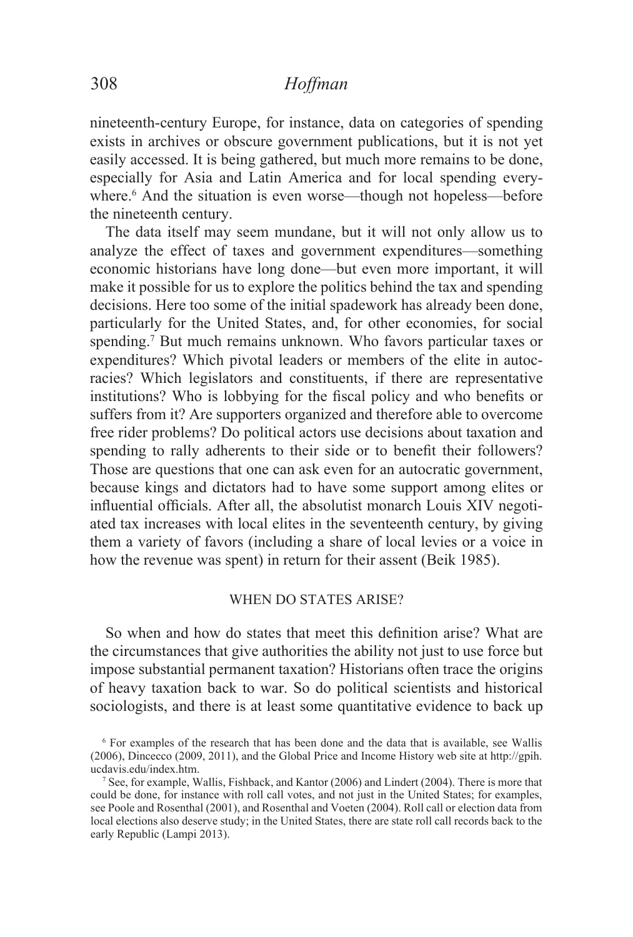nineteenth-century Europe, for instance, data on categories of spending exists in archives or obscure government publications, but it is not yet easily accessed. It is being gathered, but much more remains to be done, especially for Asia and Latin America and for local spending everywhere.<sup>6</sup> And the situation is even worse—though not hopeless—before the nineteenth century.

The data itself may seem mundane, but it will not only allow us to analyze the effect of taxes and government expenditures—something economic historians have long done—but even more important, it will make it possible for us to explore the politics behind the tax and spending decisions. Here too some of the initial spadework has already been done, particularly for the United States, and, for other economies, for social spending.<sup>7</sup> But much remains unknown. Who favors particular taxes or expenditures? Which pivotal leaders or members of the elite in autocracies? Which legislators and constituents, if there are representative institutions? Who is lobbying for the fiscal policy and who benefits or suffers from it? Are supporters organized and therefore able to overcome free rider problems? Do political actors use decisions about taxation and spending to rally adherents to their side or to benefit their followers? Those are questions that one can ask even for an autocratic government, because kings and dictators had to have some support among elites or influential officials. After all, the absolutist monarch Louis XIV negotiated tax increases with local elites in the seventeenth century, by giving them a variety of favors (including a share of local levies or a voice in how the revenue was spent) in return for their assent (Beik 1985).

### WHEN DO STATES ARISE?

So when and how do states that meet this definition arise? What are the circumstances that give authorities the ability not just to use force but impose substantial permanent taxation? Historians often trace the origins of heavy taxation back to war. So do political scientists and historical sociologists, and there is at least some quantitative evidence to back up

<sup>&</sup>lt;sup>6</sup> For examples of the research that has been done and the data that is available, see Wallis  $(2006)$ , Dincecco  $(2009, 2011)$ , and the Global Price and Income History web site at http://gpih. ucdavis.edu/index.htm.

<sup>&</sup>lt;sup>7</sup> See, for example, Wallis, Fishback, and Kantor (2006) and Lindert (2004). There is more that could be done, for instance with roll call votes, and not just in the United States; for examples, see Poole and Rosenthal (2001), and Rosenthal and Voeten (2004). Roll call or election data from local elections also deserve study; in the United States, there are state roll call records back to the early Republic (Lampi 2013).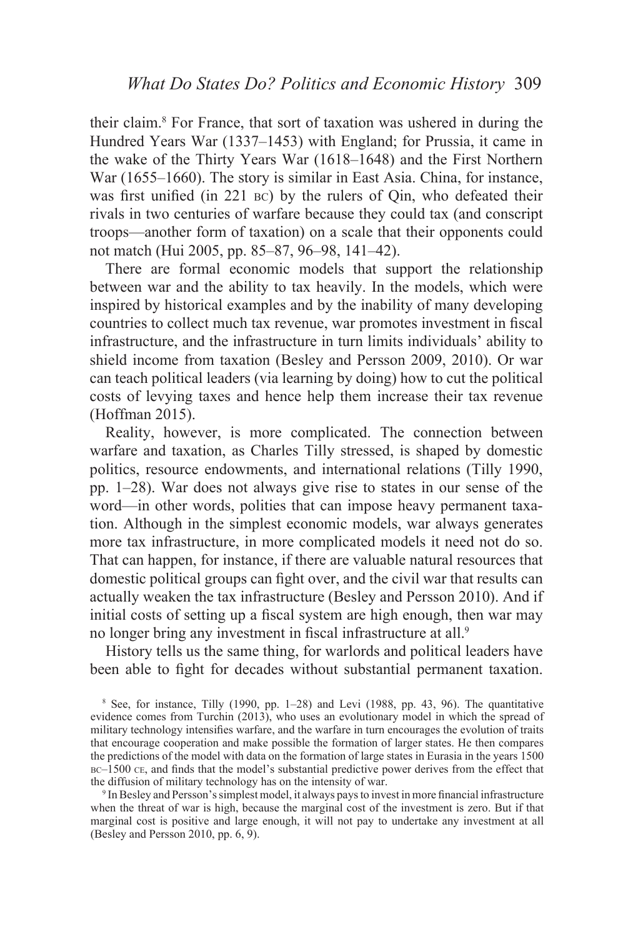their claim.<sup>8</sup> For France, that sort of taxation was ushered in during the Hundred Years War (1337–1453) with England; for Prussia, it came in the wake of the Thirty Years War  $(1618-1648)$  and the First Northern War  $(1655-1660)$ . The story is similar in East Asia. China, for instance, was first unified (in  $221$  BC) by the rulers of Qin, who defeated their rivals in two centuries of warfare because they could tax (and conscript troops—another form of taxation) on a scale that their opponents could not match (Hui 2005, pp. 85–87, 96–98, 141–42).

There are formal economic models that support the relationship between war and the ability to tax heavily. In the models, which were inspired by historical examples and by the inability of many developing countries to collect much tax revenue, war promotes investment in fiscal infrastructure, and the infrastructure in turn limits individuals' ability to shield income from taxation (Besley and Persson 2009, 2010). Or war can teach political leaders (via learning by doing) how to cut the political costs of levying taxes and hence help them increase their tax revenue  $(Hoffman 2015)$ .

Reality, however, is more complicated. The connection between warfare and taxation, as Charles Tilly stressed, is shaped by domestic politics, resource endowments, and international relations (Tilly 1990, pp. 1–28). War does not always give rise to states in our sense of the word—in other words, polities that can impose heavy permanent taxation. Although in the simplest economic models, war always generates more tax infrastructure, in more complicated models it need not do so. That can happen, for instance, if there are valuable natural resources that domestic political groups can fight over, and the civil war that results can actually weaken the tax infrastructure (Besley and Persson 2010). And if initial costs of setting up a fiscal system are high enough, then war may no longer bring any investment in fiscal infrastructure at all.<sup>9</sup>

History tells us the same thing, for warlords and political leaders have been able to fight for decades without substantial permanent taxation.

 $8$  See, for instance, Tilly (1990, pp. 1–28) and Levi (1988, pp. 43, 96). The quantitative evidence comes from Turchin  $(2013)$ , who uses an evolutionary model in which the spread of military technology intensifies warfare, and the warfare in turn encourages the evolution of traits that encourage cooperation and make possible the formation of larger states. He then compares the predictions of the model with data on the formation of large states in Eurasia in the years 1500  $BC-1500$  CE, and finds that the model's substantial predictive power derives from the effect that the diffusion of military technology has on the intensity of war.

 $9$  In Besley and Persson's simplest model, it always pays to invest in more financial infrastructure when the threat of war is high, because the marginal cost of the investment is zero. But if that marginal cost is positive and large enough, it will not pay to undertake any investment at all (Besley and Persson 2010, pp. 6, 9).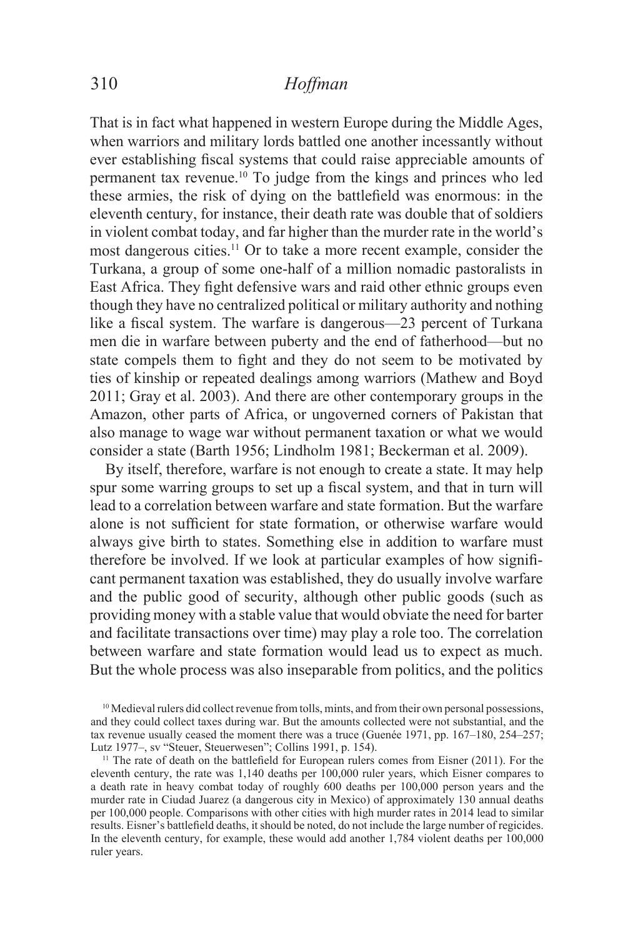That is in fact what happened in western Europe during the Middle Ages, when warriors and military lords battled one another incessantly without ever establishing fiscal systems that could raise appreciable amounts of permanent tax revenue.<sup>10</sup> To judge from the kings and princes who led these armies, the risk of dying on the battlefield was enormous: in the eleventh century, for instance, their death rate was double that of soldiers in violent combat today, and far higher than the murder rate in the world's most dangerous cities.<sup>11</sup> Or to take a more recent example, consider the Turkana, a group of some one-half of a million nomadic pastoralists in East Africa. They fight defensive wars and raid other ethnic groups even though they have no centralized political or military authority and nothing like a fiscal system. The warfare is dangerous—23 percent of Turkana men die in warfare between puberty and the end of fatherhood—but no state compels them to fight and they do not seem to be motivated by ties of kinship or repeated dealings among warriors (Mathew and Boyd 2011; Gray et al. 2003). And there are other contemporary groups in the Amazon, other parts of Africa, or ungoverned corners of Pakistan that also manage to wage war without permanent taxation or what we would consider a state (Barth 1956; Lindholm 1981; Beckerman et al. 2009).

By itself, therefore, warfare is not enough to create a state. It may help spur some warring groups to set up a fiscal system, and that in turn will lead to a correlation between warfare and state formation. But the warfare alone is not sufficient for state formation, or otherwise warfare would always give birth to states. Something else in addition to warfare must therefore be involved. If we look at particular examples of how significant permanent taxation was established, they do usually involve warfare and the public good of security, although other public goods (such as providing money with a stable value that would obviate the need for barter and facilitate transactions over time) may play a role too. The correlation between warfare and state formation would lead us to expect as much. But the whole process was also inseparable from politics, and the politics

<sup>&</sup>lt;sup>10</sup> Medieval rulers did collect revenue from tolls, mints, and from their own personal possessions, and they could collect taxes during war. But the amounts collected were not substantial, and the tax revenue usually ceased the moment there was a truce (Guenée 1971, pp.  $167-180$ ,  $254-257$ ; Lutz 1977–, sv "Steuer, Steuerwesen"; Collins 1991, p. 154).

<sup>&</sup>lt;sup>11</sup> The rate of death on the battlefield for European rulers comes from Eisner (2011). For the eleventh century, the rate was 1,140 deaths per 100,000 ruler years, which Eisner compares to a death rate in heavy combat today of roughly 600 deaths per 100,000 person years and the murder rate in Ciudad Juarez (a dangerous city in Mexico) of approximately 130 annual deaths per 100,000 people. Comparisons with other cities with high murder rates in 2014 lead to similar results. Eisner's battlefield deaths, it should be noted, do not include the large number of regicides. In the eleventh century, for example, these would add another 1,784 violent deaths per  $100,000$ ruler years.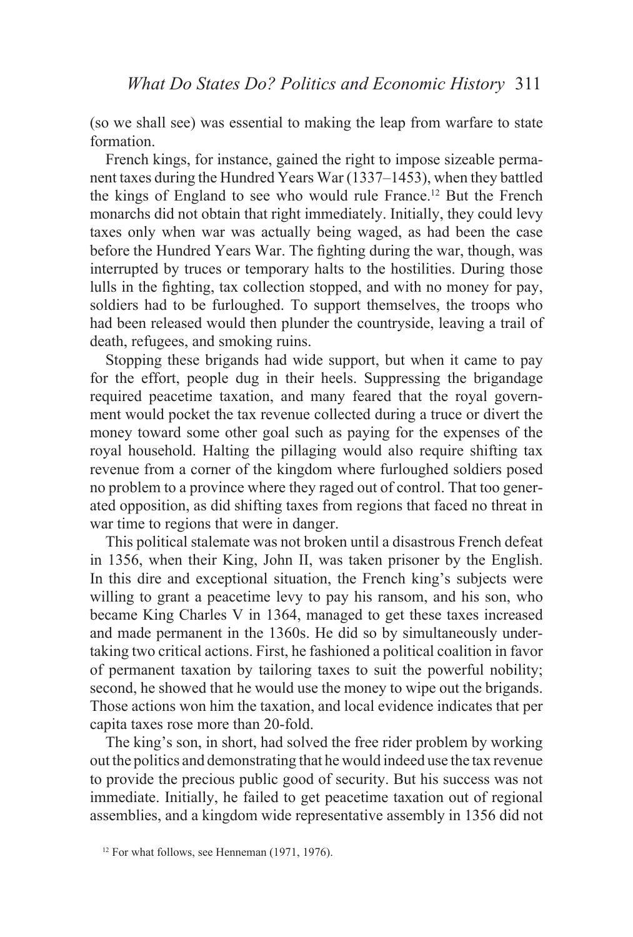(so we shall see) was essential to making the leap from warfare to state formation.

French kings, for instance, gained the right to impose sizeable permanent taxes during the Hundred Years War  $(1337-1453)$ , when they battled the kings of England to see who would rule France.12 But the French monarchs did not obtain that right immediately. Initially, they could levy taxes only when war was actually being waged, as had been the case before the Hundred Years War. The fighting during the war, though, was interrupted by truces or temporary halts to the hostilities. During those lulls in the fighting, tax collection stopped, and with no money for pay, soldiers had to be furloughed. To support themselves, the troops who had been released would then plunder the countryside, leaving a trail of death, refugees, and smoking ruins.

Stopping these brigands had wide support, but when it came to pay for the effort, people dug in their heels. Suppressing the brigandage required peacetime taxation, and many feared that the royal government would pocket the tax revenue collected during a truce or divert the money toward some other goal such as paying for the expenses of the royal household. Halting the pillaging would also require shifting tax revenue from a corner of the kingdom where furloughed soldiers posed no problem to a province where they raged out of control. That too generated opposition, as did shifting taxes from regions that faced no threat in war time to regions that were in danger.

This political stalemate was not broken until a disastrous French defeat in 1356, when their King, John II, was taken prisoner by the English. In this dire and exceptional situation, the French king's subjects were willing to grant a peacetime levy to pay his ransom, and his son, who became King Charles V in 1364, managed to get these taxes increased and made permanent in the 1360s. He did so by simultaneously undertaking two critical actions. First, he fashioned a political coalition in favor of permanent taxation by tailoring taxes to suit the powerful nobility; second, he showed that he would use the money to wipe out the brigands. Those actions won him the taxation, and local evidence indicates that per capita taxes rose more than 20-fold.

The king's son, in short, had solved the free rider problem by working out the politics and demonstrating that he would indeed use the tax revenue to provide the precious public good of security. But his success was not immediate. Initially, he failed to get peacetime taxation out of regional assemblies, and a kingdom wide representative assembly in 1356 did not

 $12$  For what follows, see Henneman (1971, 1976).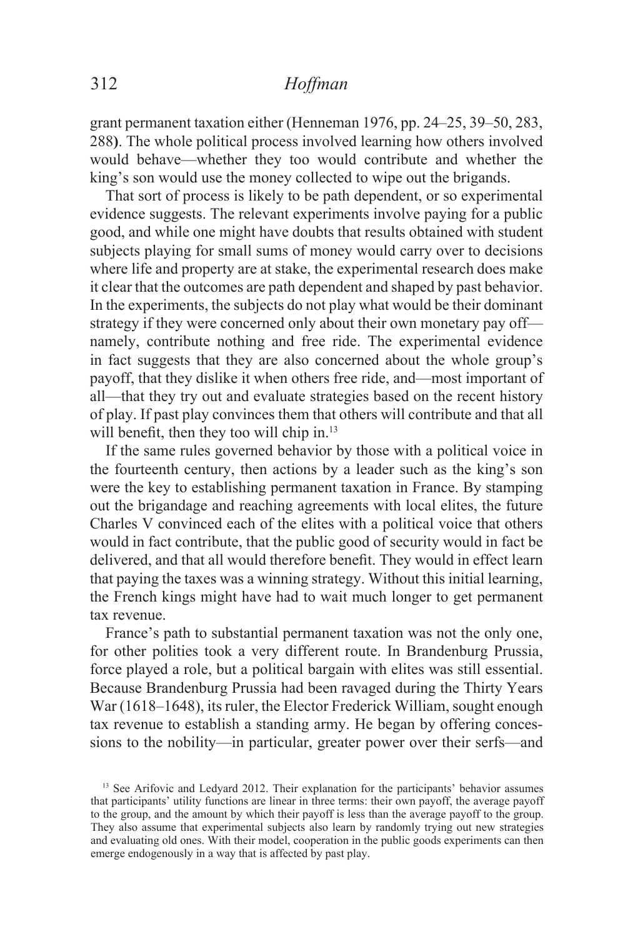grant permanent taxation either (Henneman 1976, pp.  $24-25$ ,  $39-50$ ,  $283$ , 288). The whole political process involved learning how others involved would behave—whether they too would contribute and whether the king's son would use the money collected to wipe out the brigands.

That sort of process is likely to be path dependent, or so experimental evidence suggests. The relevant experiments involve paying for a public good, and while one might have doubts that results obtained with student subjects playing for small sums of money would carry over to decisions where life and property are at stake, the experimental research does make it clear that the outcomes are path dependent and shaped by past behavior. In the experiments, the subjects do not play what would be their dominant strategy if they were concerned only about their own monetary pay off namely, contribute nothing and free ride. The experimental evidence in fact suggests that they are also concerned about the whole group's payoff, that they dislike it when others free ride, and—most important of all—that they try out and evaluate strategies based on the recent history of play. If past play convinces them that others will contribute and that all will benefit, then they too will chip in. $^{13}$ 

If the same rules governed behavior by those with a political voice in the fourteenth century, then actions by a leader such as the king's son were the key to establishing permanent taxation in France. By stamping out the brigandage and reaching agreements with local elites, the future Charles V convinced each of the elites with a political voice that others would in fact contribute, that the public good of security would in fact be delivered, and that all would therefore benefit. They would in effect learn that paying the taxes was a winning strategy. Without this initial learning, the French kings might have had to wait much longer to get permanent tax revenue.

France's path to substantial permanent taxation was not the only one. for other polities took a very different route. In Brandenburg Prussia, force played a role, but a political bargain with elites was still essential. Because Brandenburg Prussia had been ravaged during the Thirty Years War (1618–1648), its ruler, the Elector Frederick William, sought enough tax revenue to establish a standing army. He began by offering concessions to the nobility—in particular, greater power over their serfs—and

<sup>&</sup>lt;sup>13</sup> See Arifovic and Ledyard 2012. Their explanation for the participants' behavior assumes that participants' utility functions are linear in three terms: their own payoff, the average payoff to the group, and the amount by which their payoff is less than the average payoff to the group. They also assume that experimental subjects also learn by randomly trying out new strategies and evaluating old ones. With their model, cooperation in the public goods experiments can then emerge endogenously in a way that is affected by past play.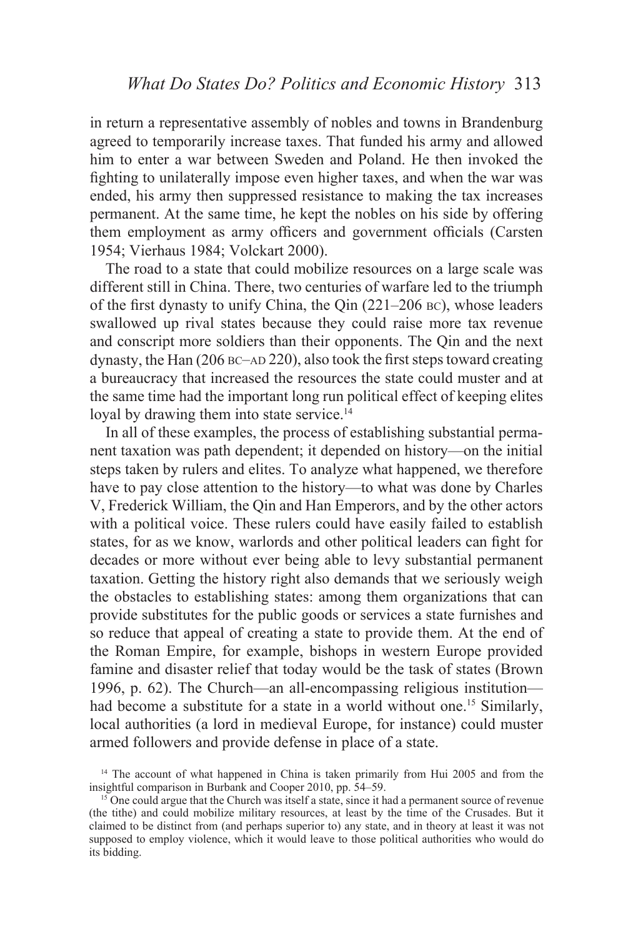in return a representative assembly of nobles and towns in Brandenburg agreed to temporarily increase taxes. That funded his army and allowed him to enter a war between Sweden and Poland. He then invoked the fighting to unilaterally impose even higher taxes, and when the war was ended, his army then suppressed resistance to making the tax increases permanent. At the same time, he kept the nobles on his side by offering them employment as army officers and government officials (Carsten 1954; Vierhaus 1984; Volckart 2000).

The road to a state that could mobilize resources on a large scale was different still in China. There, two centuries of warfare led to the triumph of the first dynasty to unify China, the Qin  $(221-206 \text{ BC})$ , whose leaders swallowed up rival states because they could raise more tax revenue and conscript more soldiers than their opponents. The Qin and the next dynasty, the Han  $(206$  BC–AD 220), also took the first steps toward creating a bureaucracy that increased the resources the state could muster and at the same time had the important long run political effect of keeping elites loyal by drawing them into state service.<sup>14</sup>

In all of these examples, the process of establishing substantial permanent taxation was path dependent; it depended on history—on the initial steps taken by rulers and elites. To analyze what happened, we therefore have to pay close attention to the history—to what was done by Charles V, Frederick William, the Qin and Han Emperors, and by the other actors with a political voice. These rulers could have easily failed to establish states, for as we know, warlords and other political leaders can fight for decades or more without ever being able to levy substantial permanent taxation. Getting the history right also demands that we seriously weigh the obstacles to establishing states: among them organizations that can provide substitutes for the public goods or services a state furnishes and so reduce that appeal of creating a state to provide them. At the end of the Roman Empire, for example, bishops in western Europe provided famine and disaster relief that today would be the task of states (Brown 1996, p. 62). The Church—an all-encompassing religious institution had become a substitute for a state in a world without one.<sup>15</sup> Similarly, local authorities (a lord in medieval Europe, for instance) could muster armed followers and provide defense in place of a state.

 $14$  The account of what happened in China is taken primarily from Hui 2005 and from the insightful comparison in Burbank and Cooper 2010, pp.  $54-59$ .

 $^{15}$  One could argue that the Church was itself a state, since it had a permanent source of revenue (the tithe) and could mobilize military resources, at least by the time of the Crusades. But it claimed to be distinct from (and perhaps superior to) any state, and in theory at least it was not supposed to employ violence, which it would leave to those political authorities who would do its bidding.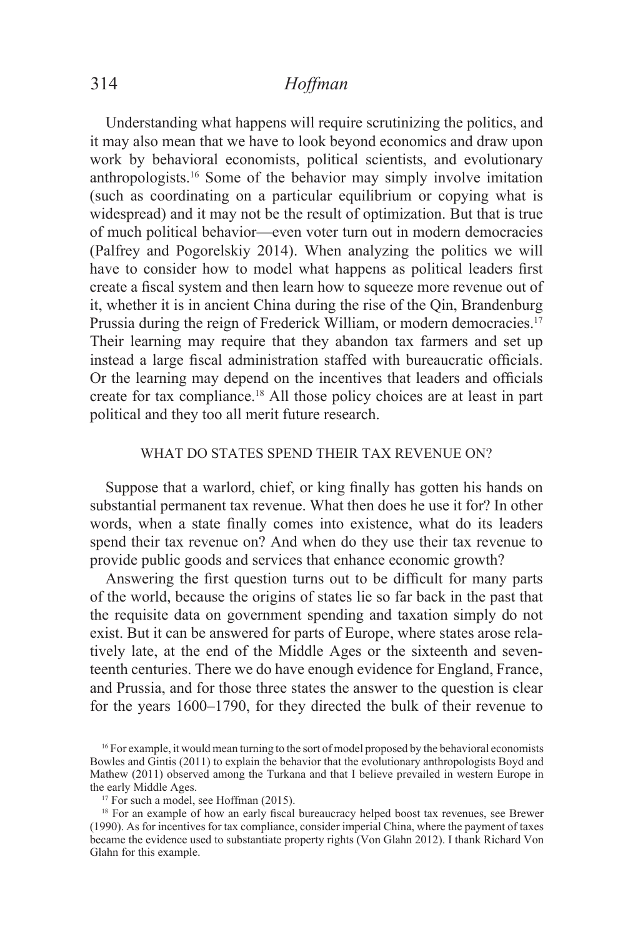Understanding what happens will require scrutinizing the politics, and it may also mean that we have to look beyond economics and draw upon work by behavioral economists, political scientists, and evolutionary anthropologists.16 Some of the behavior may simply involve imitation (such as coordinating on a particular equilibrium or copying what is widespread) and it may not be the result of optimization. But that is true of much political behavior—even voter turn out in modern democracies (Palfrey and Pogorelskiy 2014). When analyzing the politics we will have to consider how to model what happens as political leaders first create a fiscal system and then learn how to squeeze more revenue out of it, whether it is in ancient China during the rise of the Qin, Brandenburg Prussia during the reign of Frederick William, or modern democracies.<sup>17</sup> Their learning may require that they abandon tax farmers and set up instead a large fiscal administration staffed with bureaucratic officials. Or the learning may depend on the incentives that leaders and officials create for tax compliance.<sup>18</sup> All those policy choices are at least in part political and they too all merit future research.

### WHAT DO STATES SPEND THEIR TAX REVENUE ON?

Suppose that a warlord, chief, or king finally has gotten his hands on substantial permanent tax revenue. What then does he use it for? In other words, when a state finally comes into existence, what do its leaders spend their tax revenue on? And when do they use their tax revenue to provide public goods and services that enhance economic growth?

Answering the first question turns out to be difficult for many parts of the world, because the origins of states lie so far back in the past that the requisite data on government spending and taxation simply do not exist. But it can be answered for parts of Europe, where states arose relatively late, at the end of the Middle Ages or the sixteenth and seventeenth centuries. There we do have enough evidence for England, France, and Prussia, and for those three states the answer to the question is clear for the years 1600–1790, for they directed the bulk of their revenue to

<sup>&</sup>lt;sup>16</sup> For example, it would mean turning to the sort of model proposed by the behavioral economists Bowles and Gintis (2011) to explain the behavior that the evolutionary anthropologists Boyd and Mathew (2011) observed among the Turkana and that I believe prevailed in western Europe in the early Middle Ages.

 $17$  For such a model, see Hoffman (2015).

<sup>&</sup>lt;sup>18</sup> For an example of how an early fiscal bureaucracy helped boost tax revenues, see Brewer (1990). As for incentives for tax compliance, consider imperial China, where the payment of taxes became the evidence used to substantiate property rights (Von Glahn 2012). I thank Richard Von Glahn for this example.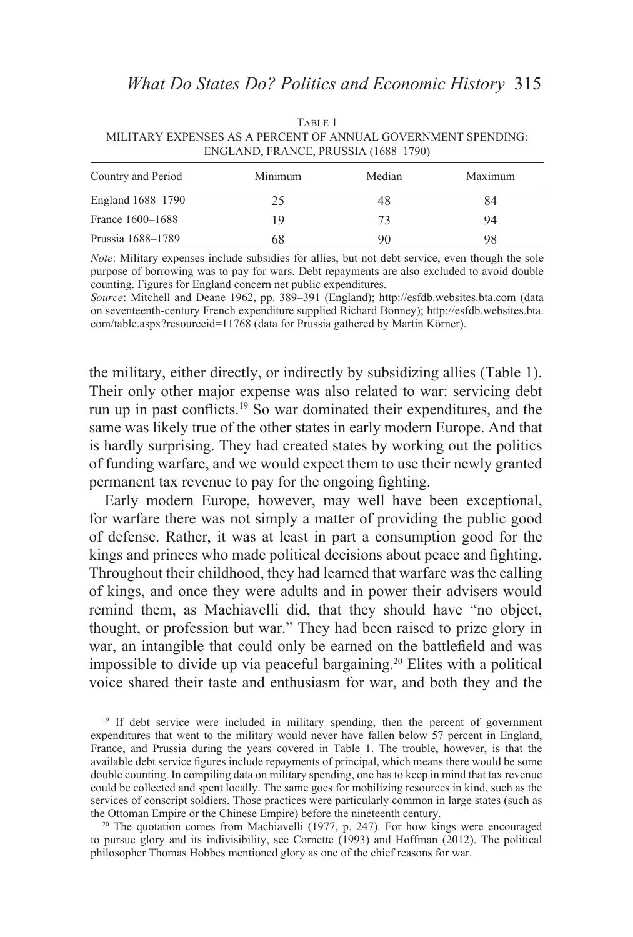TABLE 1 MILITARY EXPENSES AS A PERCENT OF ANNUAL GOVERNMENT SPENDING: ENGLAND, FRANCE, PRUSSIA (1688-1790)

| Country and Period | Minimum | Median | Maximum |
|--------------------|---------|--------|---------|
| England 1688–1790  | 25      | 48     | 84      |
| France 1600–1688   | 19      | 73     | 94      |
| Prussia 1688–1789  | 68      | 90     | 98      |

*Note*: Military expenses include subsidies for allies, but not debt service, even though the sole purpose of borrowing was to pay for wars. Debt repayments are also excluded to avoid double counting. Figures for England concern net public expenditures.

Source: Mitchell and Deane 1962, pp. 389-391 (England); http://esfdb.websites.bta.com (data on seventeenth-century French expenditure supplied Richard Bonney); http://esfdb.websites.bta. com/table.aspx?resourceid=11768 (data for Prussia gathered by Martin Körner).

the military, either directly, or indirectly by subsidizing allies (Table 1). Their only other major expense was also related to war: servicing debt run up in past conflicts.<sup>19</sup> So war dominated their expenditures, and the same was likely true of the other states in early modern Europe. And that is hardly surprising. They had created states by working out the politics of funding warfare, and we would expect them to use their newly granted permanent tax revenue to pay for the ongoing fighting.

Early modern Europe, however, may well have been exceptional, for warfare there was not simply a matter of providing the public good of defense. Rather, it was at least in part a consumption good for the kings and princes who made political decisions about peace and fighting. Throughout their childhood, they had learned that warfare was the calling of kings, and once they were adults and in power their advisers would remind them, as Machiavelli did, that they should have "no object, thought, or profession but war." They had been raised to prize glory in war, an intangible that could only be earned on the battlefield and was impossible to divide up via peaceful bargaining.<sup>20</sup> Elites with a political voice shared their taste and enthusiasm for war, and both they and the

<sup>19</sup> If debt service were included in military spending, then the percent of government expenditures that went to the military would never have fallen below 57 percent in England, France, and Prussia during the years covered in Table 1. The trouble, however, is that the available debt service figures include repayments of principal, which means there would be some double counting. In compiling data on military spending, one has to keep in mind that tax revenue could be collected and spent locally. The same goes for mobilizing resources in kind, such as the services of conscript soldiers. Those practices were particularly common in large states (such as the Ottoman Empire or the Chinese Empire) before the nineteenth century.

<sup>20</sup> The quotation comes from Machiavelli (1977, p. 247). For how kings were encouraged to pursue glory and its indivisibility, see Cornette  $(1993)$  and Hoffman  $(2012)$ . The political philosopher Thomas Hobbes mentioned glory as one of the chief reasons for war.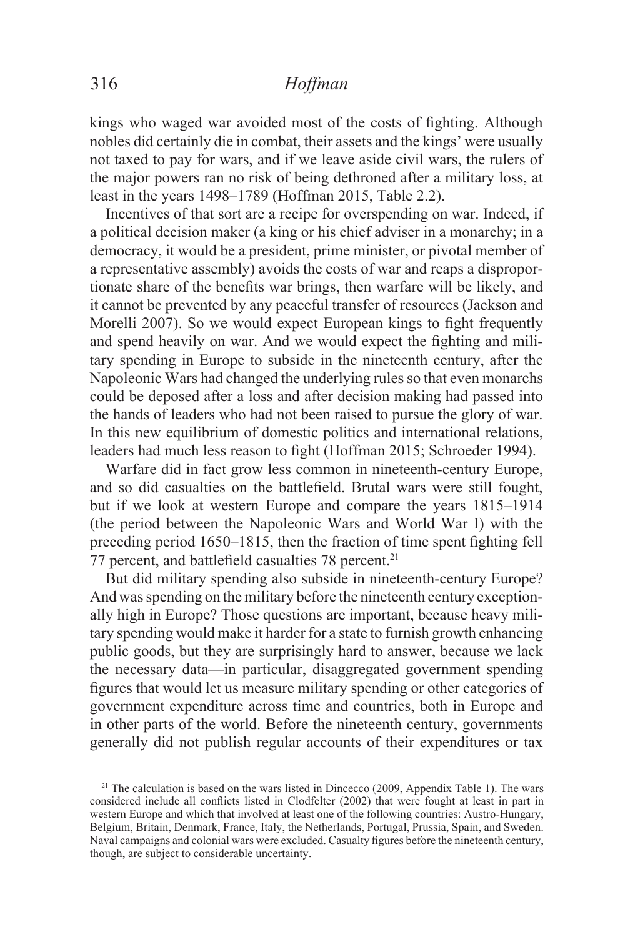kings who waged war avoided most of the costs of fighting. Although nobles did certainly die in combat, their assets and the kings' were usually not taxed to pay for wars, and if we leave aside civil wars, the rulers of the major powers ran no risk of being dethroned after a military loss, at least in the years  $1498-1789$  (Hoffman  $2015$ , Table 2.2).

Incentives of that sort are a recipe for overspending on war. Indeed, if a political decision maker (a king or his chief adviser in a monarchy; in a democracy, it would be a president, prime minister, or pivotal member of a representative assembly) avoids the costs of war and reaps a disproportionate share of the benefits war brings, then warfare will be likely, and it cannot be prevented by any peaceful transfer of resources (Jackson and Morelli 2007). So we would expect European kings to fight frequently and spend heavily on war. And we would expect the fighting and military spending in Europe to subside in the nineteenth century, after the Napoleonic Wars had changed the underlying rules so that even monarchs could be deposed after a loss and after decision making had passed into the hands of leaders who had not been raised to pursue the glory of war. In this new equilibrium of domestic politics and international relations, leaders had much less reason to fight (Hoffman 2015; Schroeder 1994).

Warfare did in fact grow less common in nineteenth-century Europe, and so did casualties on the battlefield. Brutal wars were still fought, but if we look at western Europe and compare the years 1815–1914 (the period between the Napoleonic Wars and World War I) with the preceding period  $1650-1815$ , then the fraction of time spent fighting fell 77 percent, and battlefield casualties 78 percent.<sup>21</sup>

But did military spending also subside in nineteenth-century Europe? And was spending on the military before the nineteenth century exceptionally high in Europe? Those questions are important, because heavy military spending would make it harder for a state to furnish growth enhancing public goods, but they are surprisingly hard to answer, because we lack the necessary data—in particular, disaggregated government spending figures that would let us measure military spending or other categories of government expenditure across time and countries, both in Europe and in other parts of the world. Before the nineteenth century, governments generally did not publish regular accounts of their expenditures or tax

 $21$  The calculation is based on the wars listed in Dincecco (2009, Appendix Table 1). The wars considered include all conflicts listed in Clodfelter (2002) that were fought at least in part in western Europe and which that involved at least one of the following countries: Austro-Hungary, Belgium, Britain, Denmark, France, Italy, the Netherlands, Portugal, Prussia, Spain, and Sweden. Naval campaigns and colonial wars were excluded. Casualty figures before the nineteenth century, though, are subject to considerable uncertainty.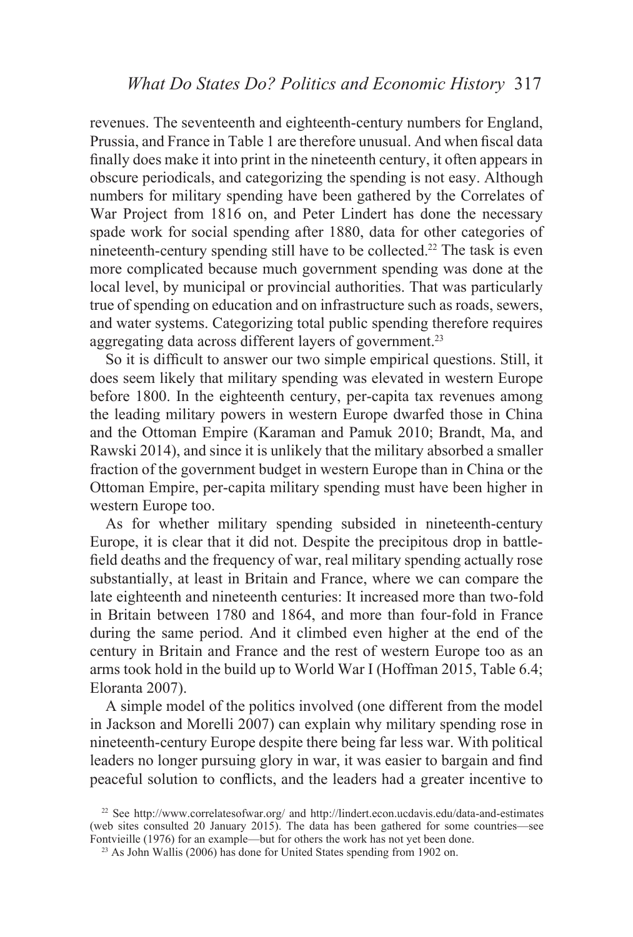revenues. The seventeenth and eighteenth-century numbers for England, Prussia, and France in Table 1 are therefore unusual. And when fiscal data finally does make it into print in the nineteenth century, it often appears in obscure periodicals, and categorizing the spending is not easy. Although numbers for military spending have been gathered by the Correlates of War Project from 1816 on, and Peter Lindert has done the necessary spade work for social spending after 1880, data for other categories of nineteenth-century spending still have to be collected.<sup>22</sup> The task is even more complicated because much government spending was done at the local level, by municipal or provincial authorities. That was particularly true of spending on education and on infrastructure such as roads, sewers, and water systems. Categorizing total public spending therefore requires aggregating data across different layers of government.<sup>23</sup>

So it is difficult to answer our two simple empirical questions. Still, it does seem likely that military spending was elevated in western Europe before 1800. In the eighteenth century, per-capita tax revenues among the leading military powers in western Europe dwarfed those in China and the Ottoman Empire (Karaman and Pamuk 2010; Brandt, Ma, and Rawski 2014), and since it is unlikely that the military absorbed a smaller fraction of the government budget in western Europe than in China or the Ottoman Empire, per-capita military spending must have been higher in western Europe too.

As for whether military spending subsided in nineteenth-century Europe, it is clear that it did not. Despite the precipitous drop in battlefield deaths and the frequency of war, real military spending actually rose substantially, at least in Britain and France, where we can compare the late eighteenth and nineteenth centuries: It increased more than two-fold in Britain between 1780 and 1864, and more than four-fold in France during the same period. And it climbed even higher at the end of the century in Britain and France and the rest of western Europe too as an arms took hold in the build up to World War I (Hoffman 2015, Table 6.4; Eloranta 2007).

A simple model of the politics involved (one different from the model in Jackson and Morelli 2007) can explain why military spending rose in nineteenth-century Europe despite there being far less war. With political leaders no longer pursuing glory in war, it was easier to bargain and find peaceful solution to conflicts, and the leaders had a greater incentive to

<sup>&</sup>lt;sup>22</sup> See http://www.correlatesofwar.org/ and http://lindert.econ.ucdavis.edu/data-and-estimates (web sites consulted 20 January 2015). The data has been gathered for some countries—see Fontvieille  $(1976)$  for an example—but for others the work has not yet been done.

<sup>&</sup>lt;sup>23</sup> As John Wallis (2006) has done for United States spending from 1902 on.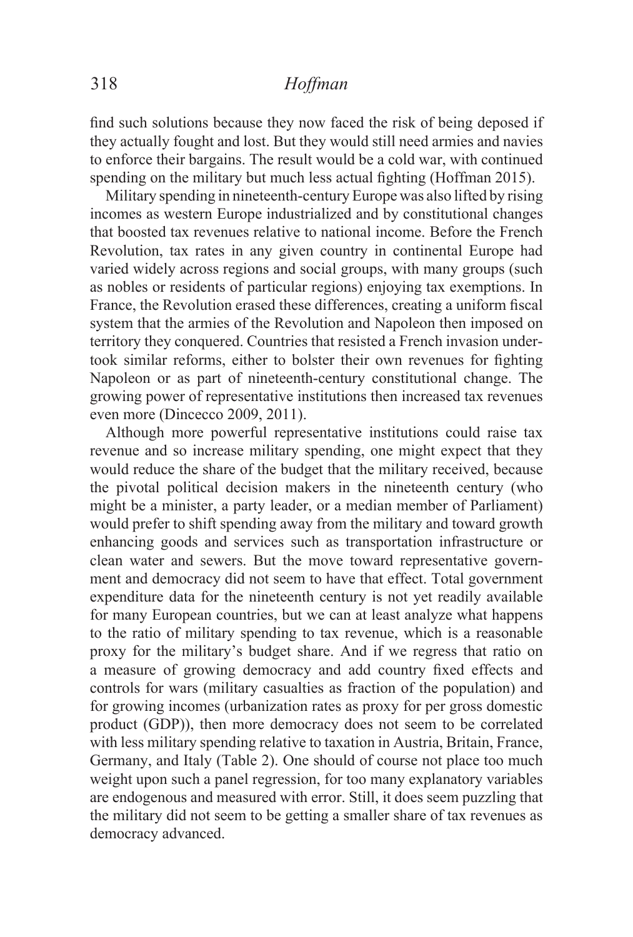find such solutions because they now faced the risk of being deposed if they actually fought and lost. But they would still need armies and navies to enforce their bargains. The result would be a cold war, with continued spending on the military but much less actual fighting (Hoffman 2015).

Military spending in nineteenth-century Europe was also lifted by rising incomes as western Europe industrialized and by constitutional changes that boosted tax revenues relative to national income. Before the French Revolution, tax rates in any given country in continental Europe had varied widely across regions and social groups, with many groups (such as nobles or residents of particular regions) enjoying tax exemptions. In France, the Revolution erased these differences, creating a uniform fiscal system that the armies of the Revolution and Napoleon then imposed on territory they conquered. Countries that resisted a French invasion undertook similar reforms, either to bolster their own revenues for fighting Napoleon or as part of nineteenth-century constitutional change. The growing power of representative institutions then increased tax revenues even more (Dincecco 2009, 2011).

Although more powerful representative institutions could raise tax revenue and so increase military spending, one might expect that they would reduce the share of the budget that the military received, because the pivotal political decision makers in the nineteenth century (who might be a minister, a party leader, or a median member of Parliament) would prefer to shift spending away from the military and toward growth enhancing goods and services such as transportation infrastructure or clean water and sewers. But the move toward representative government and democracy did not seem to have that effect. Total government expenditure data for the nineteenth century is not yet readily available for many European countries, but we can at least analyze what happens to the ratio of military spending to tax revenue, which is a reasonable proxy for the military's budget share. And if we regress that ratio on a measure of growing democracy and add country fixed effects and controls for wars (military casualties as fraction of the population) and for growing incomes (urbanization rates as proxy for per gross domestic product (GDP)), then more democracy does not seem to be correlated with less military spending relative to taxation in Austria, Britain, France, Germany, and Italy (Table 2). One should of course not place too much weight upon such a panel regression, for too many explanatory variables are endogenous and measured with error. Still, it does seem puzzling that the military did not seem to be getting a smaller share of tax revenues as democracy advanced.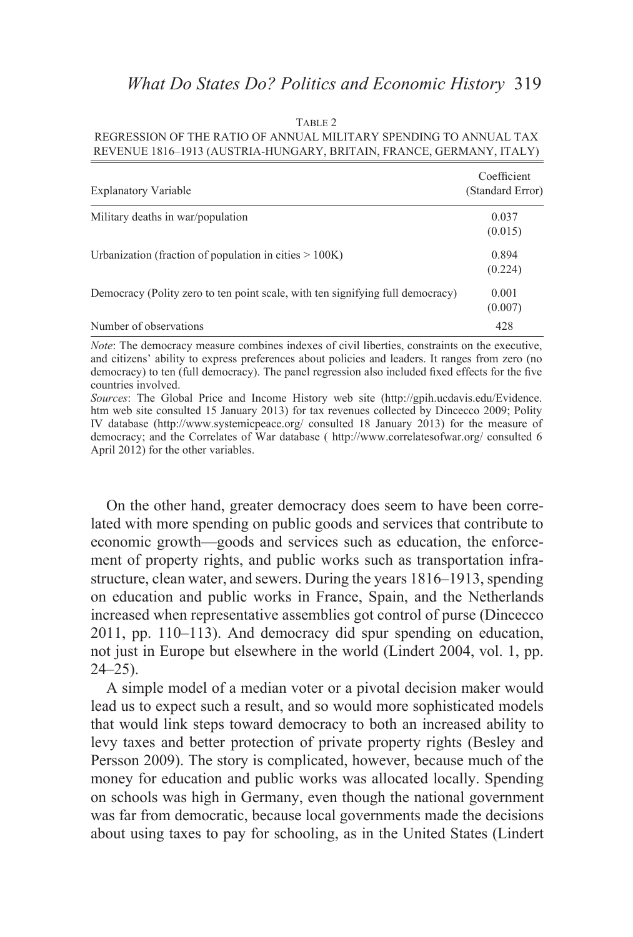#### TABLE 2

### REGRESSION OF THE RATIO OF ANNUAL MILITARY SPENDING TO ANNUAL TAX REVENUE 1816-1913 (AUSTRIA-HUNGARY, BRITAIN, FRANCE, GERMANY, ITALY)

| <b>Explanatory Variable</b>                                                    | Coefficient<br>(Standard Error) |
|--------------------------------------------------------------------------------|---------------------------------|
| Military deaths in war/population                                              | 0.037<br>(0.015)                |
| Urbanization (fraction of population in cities $> 100K$ )                      | 0.894<br>(0.224)                |
| Democracy (Polity zero to ten point scale, with ten signifying full democracy) | 0.001<br>(0.007)                |
| Number of observations                                                         | 428                             |

*Note*: The democracy measure combines indexes of civil liberties, constraints on the executive, and citizens' ability to express preferences about policies and leaders. It ranges from zero (no democracy) to ten (full democracy). The panel regression also included fixed effects for the five countries involved.

Sources: The Global Price and Income History web site (http://gpih.ucdavis.edu/Evidence. htm web site consulted 15 January 2013) for tax revenues collected by Dincecco 2009; Polity IV database (http://www.systemicpeace.org/ consulted 18 January 2013) for the measure of democracy; and the Correlates of War database (http://www.correlatesofwar.org/consulted 6 April 2012) for the other variables.

On the other hand, greater democracy does seem to have been correlated with more spending on public goods and services that contribute to economic growth—goods and services such as education, the enforcement of property rights, and public works such as transportation infrastructure, clean water, and sewers. During the years  $1816-1913$ , spending on education and public works in France, Spain, and the Netherlands increased when representative assemblies got control of purse (Dincecco) 2011, pp. 110–113). And democracy did spur spending on education, not just in Europe but elsewhere in the world (Lindert 2004, vol. 1, pp.  $24 - 25$ ).

A simple model of a median voter or a pivotal decision maker would lead us to expect such a result, and so would more sophisticated models that would link steps toward democracy to both an increased ability to levy taxes and better protection of private property rights (Besley and Persson 2009). The story is complicated, however, because much of the money for education and public works was allocated locally. Spending on schools was high in Germany, even though the national government was far from democratic, because local governments made the decisions about using taxes to pay for schooling, as in the United States (Lindert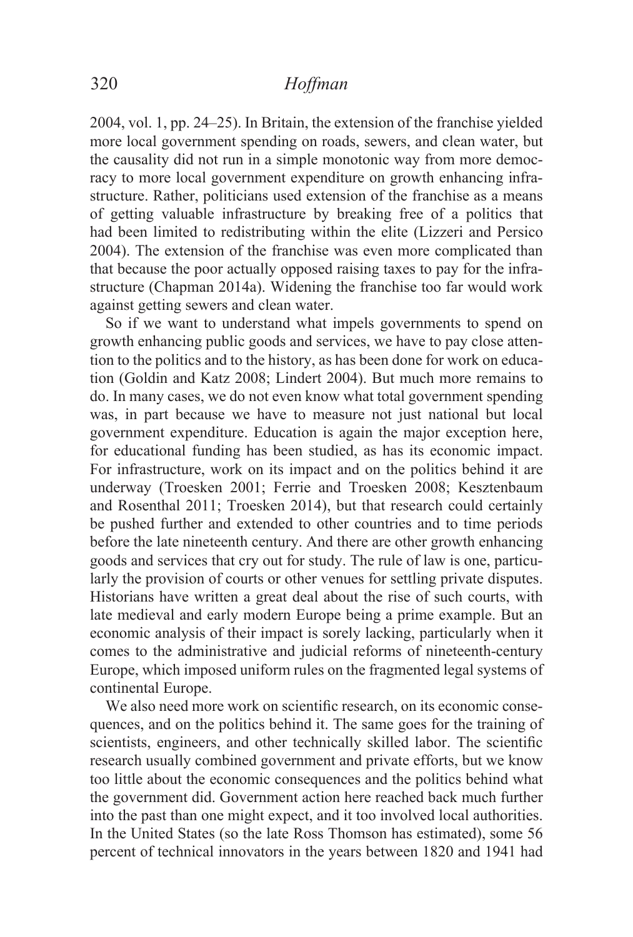$2004$ , vol. 1, pp. 24–25). In Britain, the extension of the franchise yielded more local government spending on roads, sewers, and clean water, but the causality did not run in a simple monotonic way from more democracy to more local government expenditure on growth enhancing infrastructure. Rather, politicians used extension of the franchise as a means of getting valuable infrastructure by breaking free of a politics that had been limited to redistributing within the elite (Lizzeri and Persico 2004). The extension of the franchise was even more complicated than that because the poor actually opposed raising taxes to pay for the infrastructure (Chapman 2014a). Widening the franchise too far would work against getting sewers and clean water.

So if we want to understand what impels governments to spend on growth enhancing public goods and services, we have to pay close attention to the politics and to the history, as has been done for work on education (Goldin and Katz 2008; Lindert 2004). But much more remains to do. In many cases, we do not even know what total government spending was, in part because we have to measure not just national but local government expenditure. Education is again the major exception here, for educational funding has been studied, as has its economic impact. For infrastructure, work on its impact and on the politics behind it are underway (Troesken 2001; Ferrie and Troesken 2008; Kesztenbaum and Rosenthal 2011; Troesken 2014), but that research could certainly be pushed further and extended to other countries and to time periods before the late nineteenth century. And there are other growth enhancing goods and services that cry out for study. The rule of law is one, particularly the provision of courts or other venues for settling private disputes. Historians have written a great deal about the rise of such courts, with late medieval and early modern Europe being a prime example. But an economic analysis of their impact is sorely lacking, particularly when it comes to the administrative and judicial reforms of nineteenth-century Europe, which imposed uniform rules on the fragmented legal systems of continental Europe.

We also need more work on scientific research, on its economic consequences, and on the politics behind it. The same goes for the training of scientists, engineers, and other technically skilled labor. The scientific research usually combined government and private efforts, but we know too little about the economic consequences and the politics behind what the government did. Government action here reached back much further into the past than one might expect, and it too involved local authorities. In the United States (so the late Ross Thomson has estimated), some 56 percent of technical innovators in the years between 1820 and 1941 had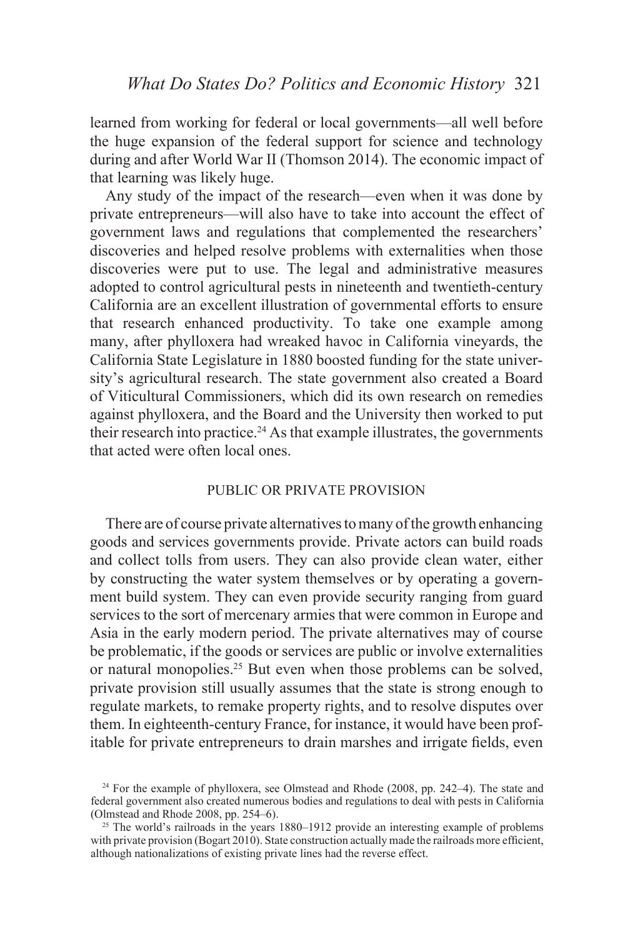learned from working for federal or local governments—all well before the huge expansion of the federal support for science and technology during and after World War II (Thomson 2014). The economic impact of that learning was likely huge.

Any study of the impact of the research—even when it was done by private entrepreneurs—will also have to take into account the effect of government laws and regulations that complemented the researchers' discoveries and helped resolve problems with externalities when those discoveries were put to use. The legal and administrative measures adopted to control agricultural pests in nineteenth and twentieth-century California are an excellent illustration of governmental efforts to ensure that research enhanced productivity. To take one example among many, after phylloxera had wreaked havoc in California vineyards, the California State Legislature in 1880 boosted funding for the state university's agricultural research. The state government also created a Board of Viticultural Commissioners, which did its own research on remedies against phylloxera, and the Board and the University then worked to put their research into practice.<sup>24</sup> As that example illustrates, the governments that acted were often local ones.

### PUBLIC OR PRIVATE PROVISION

There are of course private alternatives to many of the growth enhancing goods and services governments provide. Private actors can build roads and collect tolls from users. They can also provide clean water, either by constructing the water system themselves or by operating a government build system. They can even provide security ranging from guard services to the sort of mercenary armies that were common in Europe and Asia in the early modern period. The private alternatives may of course be problematic, if the goods or services are public or involve externalities or natural monopolies.25 But even when those problems can be solved, private provision still usually assumes that the state is strong enough to regulate markets, to remake property rights, and to resolve disputes over them. In eighteenth-century France, for instance, it would have been profitable for private entrepreneurs to drain marshes and irrigate fields, even

<sup>&</sup>lt;sup>24</sup> For the example of phylloxera, see Olmstead and Rhode (2008, pp. 242–4). The state and federal government also created numerous bodies and regulations to deal with pests in California (Olmstead and Rhode 2008, pp. 254–6).

<sup>&</sup>lt;sup>25</sup> The world's railroads in the years  $1880-1912$  provide an interesting example of problems with private provision (Bogart 2010). State construction actually made the railroads more efficient, although nationalizations of existing private lines had the reverse effect.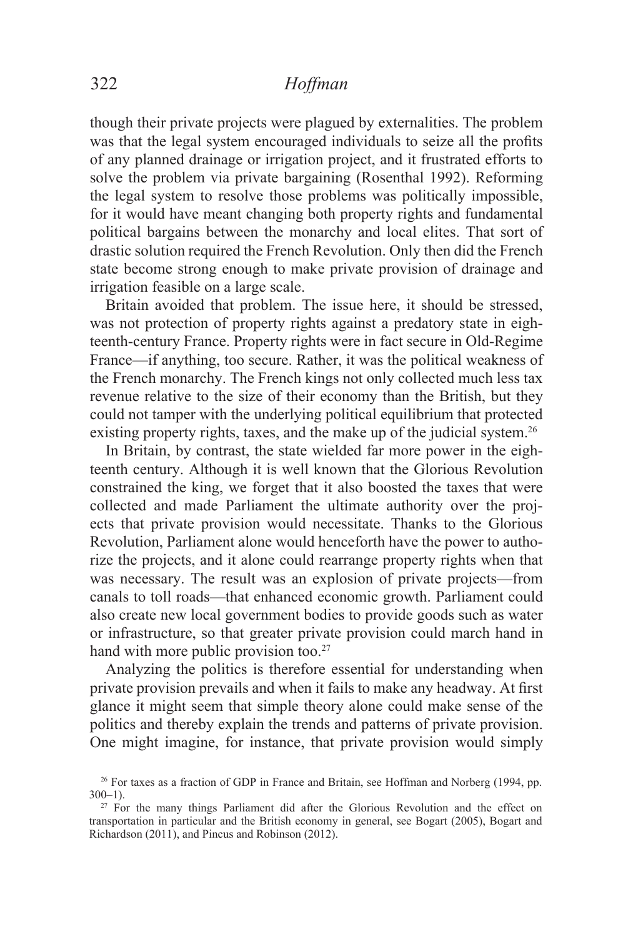though their private projects were plagued by externalities. The problem was that the legal system encouraged individuals to seize all the profits of any planned drainage or irrigation project, and it frustrated efforts to solve the problem via private bargaining (Rosenthal 1992). Reforming the legal system to resolve those problems was politically impossible, for it would have meant changing both property rights and fundamental political bargains between the monarchy and local elites. That sort of drastic solution required the French Revolution. Only then did the French state become strong enough to make private provision of drainage and irrigation feasible on a large scale.

Britain avoided that problem. The issue here, it should be stressed, was not protection of property rights against a predatory state in eighteenth-century France. Property rights were in fact secure in Old-Regime France—if anything, too secure. Rather, it was the political weakness of the French monarchy. The French kings not only collected much less tax revenue relative to the size of their economy than the British, but they could not tamper with the underlying political equilibrium that protected existing property rights, taxes, and the make up of the judicial system.<sup>26</sup>

In Britain, by contrast, the state wielded far more power in the eighteenth century. Although it is well known that the Glorious Revolution constrained the king, we forget that it also boosted the taxes that were collected and made Parliament the ultimate authority over the projects that private provision would necessitate. Thanks to the Glorious Revolution, Parliament alone would henceforth have the power to authorize the projects, and it alone could rearrange property rights when that was necessary. The result was an explosion of private projects—from canals to toll roads—that enhanced economic growth. Parliament could also create new local government bodies to provide goods such as water or infrastructure, so that greater private provision could march hand in hand with more public provision too.<sup>27</sup>

Analyzing the politics is therefore essential for understanding when private provision prevails and when it fails to make any headway. At first glance it might seem that simple theory alone could make sense of the politics and thereby explain the trends and patterns of private provision. One might imagine, for instance, that private provision would simply

<sup>&</sup>lt;sup>26</sup> For taxes as a fraction of GDP in France and Britain, see Hoffman and Norberg (1994, pp. 300–1).

 $27$  For the many things Parliament did after the Glorious Revolution and the effect on transportation in particular and the British economy in general, see Bogart (2005), Bogart and Richardson (2011), and Pincus and Robinson (2012).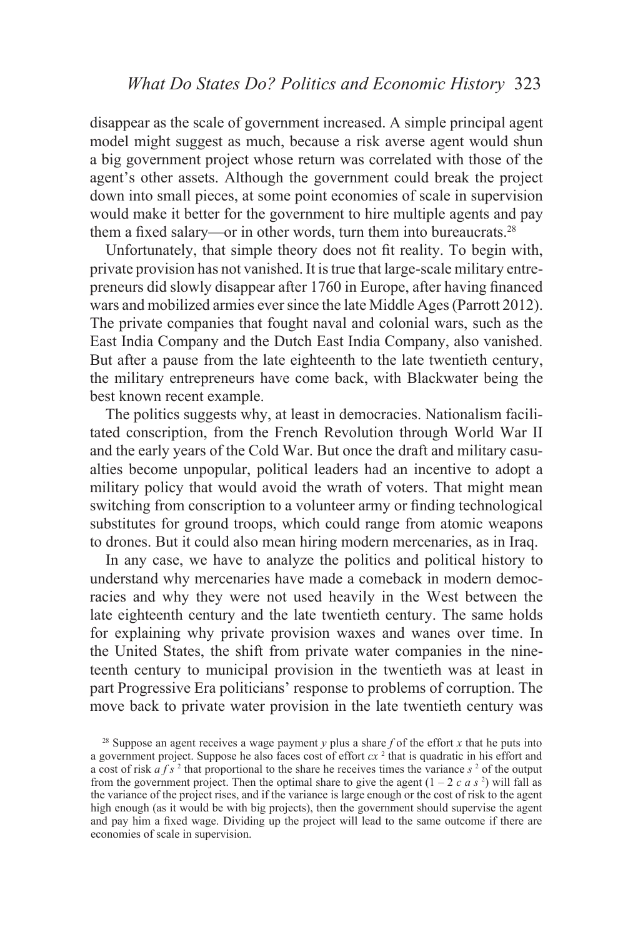disappear as the scale of government increased. A simple principal agent model might suggest as much, because a risk averse agent would shun a big government project whose return was correlated with those of the agent's other assets. Although the government could break the project down into small pieces, at some point economies of scale in supervision would make it better for the government to hire multiple agents and pay them a fixed salary—or in other words, turn them into bureaucrats.<sup>28</sup>

Unfortunately, that simple theory does not fit reality. To begin with, private provision has not vanished. It is true that large-scale military entrepreneurs did slowly disappear after 1760 in Europe, after having financed wars and mobilized armies ever since the late Middle Ages (Parrott 2012). The private companies that fought naval and colonial wars, such as the East India Company and the Dutch East India Company, also vanished. But after a pause from the late eighteenth to the late twentieth century, the military entrepreneurs have come back, with Blackwater being the best known recent example.

The politics suggests why, at least in democracies. Nationalism facilitated conscription, from the French Revolution through World War II and the early years of the Cold War. But once the draft and military casualties become unpopular, political leaders had an incentive to adopt a military policy that would avoid the wrath of voters. That might mean switching from conscription to a volunteer army or finding technological substitutes for ground troops, which could range from atomic weapons to drones. But it could also mean hiring modern mercenaries, as in Iraq.

In any case, we have to analyze the politics and political history to understand why mercenaries have made a comeback in modern democracies and why they were not used heavily in the West between the late eighteenth century and the late twentieth century. The same holds for explaining why private provision waxes and wanes over time. In the United States, the shift from private water companies in the nineteenth century to municipal provision in the twentieth was at least in part Progressive Era politicians' response to problems of corruption. The move back to private water provision in the late twentieth century was

<sup>&</sup>lt;sup>28</sup> Suppose an agent receives a wage payment *y* plus a share  $f$  of the effort  $x$  that he puts into a government project. Suppose he also faces cost of effort  $cx<sup>2</sup>$  that is quadratic in his effort and a cost of risk  $a f s^2$  that proportional to the share he receives times the variance  $s^2$  of the output from the government project. Then the optimal share to give the agent  $(1 - 2 c a s^2)$  will fall as the variance of the project rises, and if the variance is large enough or the cost of risk to the agent high enough (as it would be with big projects), then the government should supervise the agent and pay him a fixed wage. Dividing up the project will lead to the same outcome if there are economies of scale in supervision.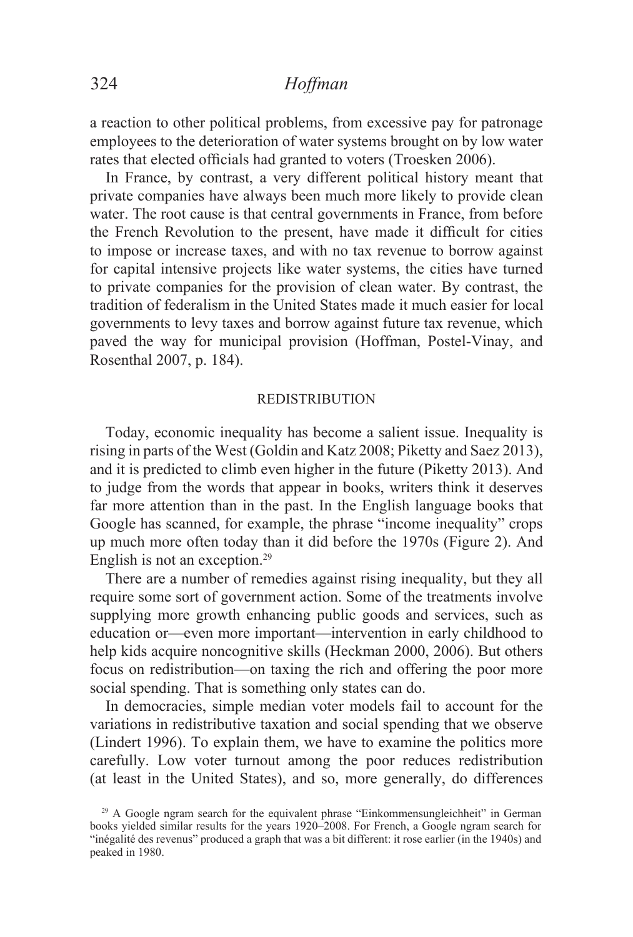a reaction to other political problems, from excessive pay for patronage employees to the deterioration of water systems brought on by low water rates that elected officials had granted to voters (Troesken 2006).

In France, by contrast, a very different political history meant that private companies have always been much more likely to provide clean water. The root cause is that central governments in France, from before the French Revolution to the present, have made it difficult for cities to impose or increase taxes, and with no tax revenue to borrow against for capital intensive projects like water systems, the cities have turned to private companies for the provision of clean water. By contrast, the tradition of federalism in the United States made it much easier for local governments to levy taxes and borrow against future tax revenue, which paved the way for municipal provision (Hoffman, Postel-Vinay, and Rosenthal 2007, p. 184).

### REDISTRIBUTION

Today, economic inequality has become a salient issue. Inequality is rising in parts of the West (Goldin and Katz 2008; Piketty and Saez 2013), and it is predicted to climb even higher in the future (Piketty 2013). And to judge from the words that appear in books, writers think it deserves far more attention than in the past. In the English language books that Google has scanned, for example, the phrase "income inequality" crops up much more often today than it did before the 1970s (Figure 2). And English is not an exception.<sup>29</sup>

There are a number of remedies against rising inequality, but they all require some sort of government action. Some of the treatments involve supplying more growth enhancing public goods and services, such as education or—even more important—intervention in early childhood to help kids acquire noncognitive skills (Heckman 2000, 2006). But others focus on redistribution—on taxing the rich and offering the poor more social spending. That is something only states can do.

In democracies, simple median voter models fail to account for the variations in redistributive taxation and social spending that we observe (Lindert 1996). To explain them, we have to examine the politics more carefully. Low voter turnout among the poor reduces redistribution (at least in the United States), and so, more generally, do differences

<sup>&</sup>lt;sup>29</sup> A Google ngram search for the equivalent phrase "Einkommensungleichheit" in German books yielded similar results for the years 1920–2008. For French, a Google ngram search for "inégalité des revenus" produced a graph that was a bit different: it rose earlier (in the 1940s) and peaked in 1980.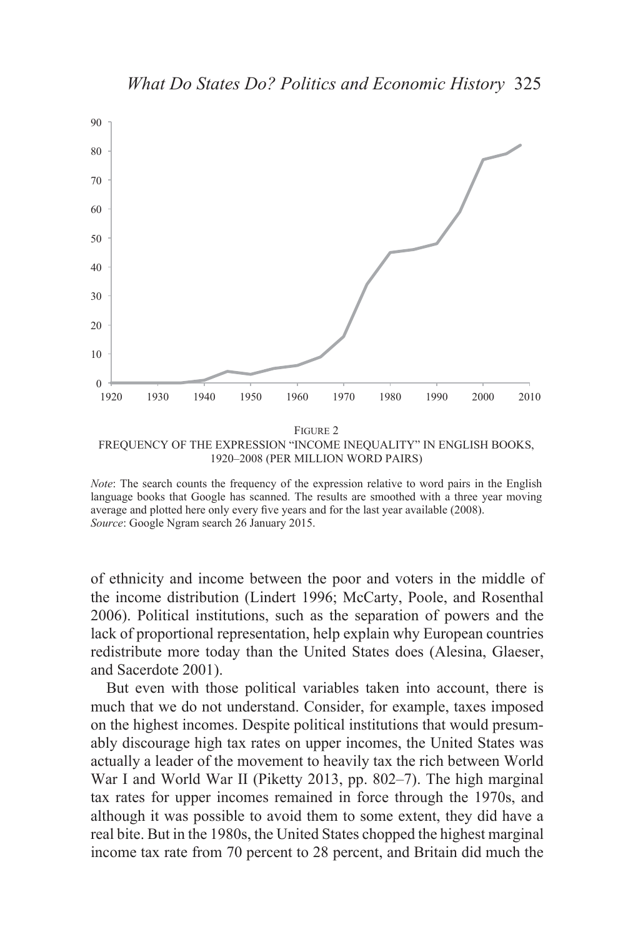

*Note*: The search counts the frequency of the expression relative to word pairs in the English language books that Google has scanned. The results are smoothed with a three year moving average and plotted here only every five years and for the last year available (2008). *Source*: Google Ngram search 26 January 2015.

of ethnicity and income between the poor and voters in the middle of the income distribution (Lindert 1996; McCarty, Poole, and Rosenthal 2006). Political institutions, such as the separation of powers and the lack of proportional representation, help explain why European countries redistribute more today than the United States does (Alesina, Glaeser, and Sacerdote 2001).

But even with those political variables taken into account, there is much that we do not understand. Consider, for example, taxes imposed on the highest incomes. Despite political institutions that would presumably discourage high tax rates on upper incomes, the United States was actually a leader of the movement to heavily tax the rich between World War I and World War II (Piketty 2013, pp. 802–7). The high marginal tax rates for upper incomes remained in force through the 1970s, and although it was possible to avoid them to some extent, they did have a real bite. But in the 1980s, the United States chopped the highest marginal income tax rate from 70 percent to 28 percent, and Britain did much the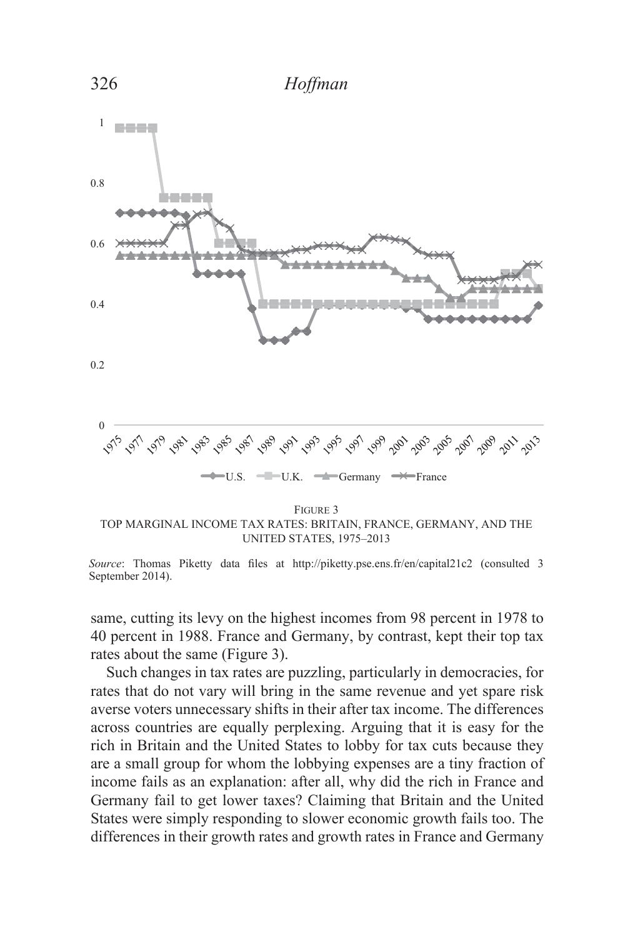

FIGURE 3 TOP MARGINAL INCOME TAX RATES: BRITAIN, FRANCE, GERMANY, AND THE UNITED STATES, 1975-2013

same, cutting its levy on the highest incomes from 98 percent in 1978 to 40 percent in 1988. France and Germany, by contrast, kept their top tax rates about the same (Figure 3).

Such changes in tax rates are puzzling, particularly in democracies, for rates that do not vary will bring in the same revenue and yet spare risk averse voters unnecessary shifts in their after tax income. The differences across countries are equally perplexing. Arguing that it is easy for the rich in Britain and the United States to lobby for tax cuts because they are a small group for whom the lobbying expenses are a tiny fraction of income fails as an explanation: after all, why did the rich in France and Germany fail to get lower taxes? Claiming that Britain and the United States were simply responding to slower economic growth fails too. The differences in their growth rates and growth rates in France and Germany

*Source*: Thomas Piketty data files at http://piketty.pse.ens.fr/en/capital21c2 (consulted 3 September 2014).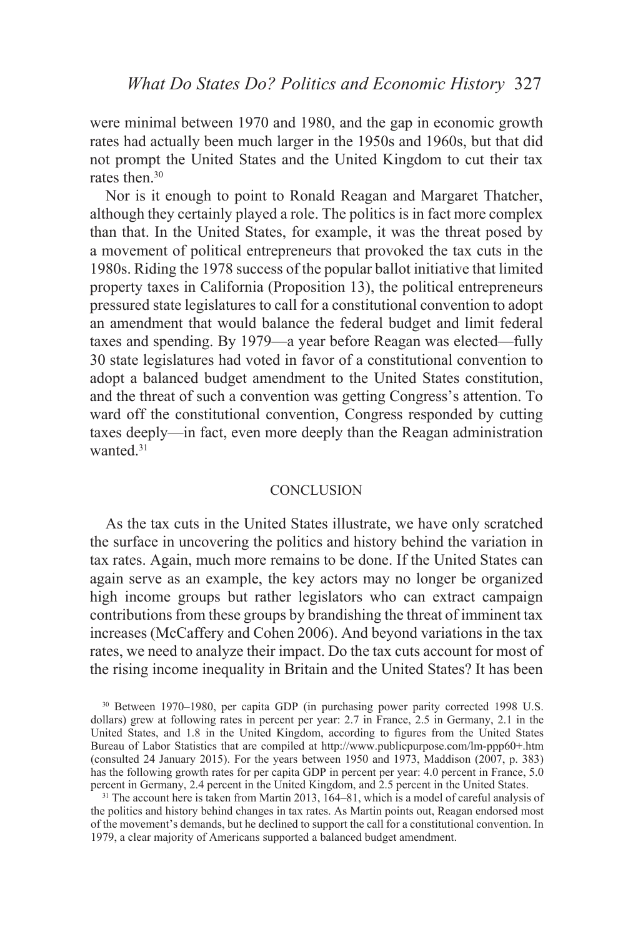were minimal between 1970 and 1980, and the gap in economic growth rates had actually been much larger in the 1950s and 1960s, but that did not prompt the United States and the United Kingdom to cut their tax rates then.<sup>30</sup>

Nor is it enough to point to Ronald Reagan and Margaret Thatcher, although they certainly played a role. The politics is in fact more complex than that. In the United States, for example, it was the threat posed by a movement of political entrepreneurs that provoked the tax cuts in the 1980s. Riding the 1978 success of the popular ballot initiative that limited property taxes in California (Proposition 13), the political entrepreneurs pressured state legislatures to call for a constitutional convention to adopt an amendment that would balance the federal budget and limit federal taxes and spending. By 1979—a year before Reagan was elected—fully 30 state legislatures had voted in favor of a constitutional convention to adopt a balanced budget amendment to the United States constitution, and the threat of such a convention was getting Congress's attention. To ward off the constitutional convention, Congress responded by cutting taxes deeply—in fact, even more deeply than the Reagan administration wanted<sup>31</sup>

### **CONCLUSION**

As the tax cuts in the United States illustrate, we have only scratched the surface in uncovering the politics and history behind the variation in tax rates. Again, much more remains to be done. If the United States can again serve as an example, the key actors may no longer be organized high income groups but rather legislators who can extract campaign contributions from these groups by brandishing the threat of imminent tax increases (McCaffery and Cohen 2006). And beyond variations in the tax rates, we need to analyze their impact. Do the tax cuts account for most of the rising income inequality in Britain and the United States? It has been

<sup>&</sup>lt;sup>30</sup> Between 1970–1980, per capita GDP (in purchasing power parity corrected 1998 U.S. dollars) grew at following rates in percent per year: 2.7 in France, 2.5 in Germany, 2.1 in the United States, and 1.8 in the United Kingdom, according to figures from the United States Bureau of Labor Statistics that are compiled at http://www.publicpurpose.com/lm-ppp60+.htm (consulted 24 January 2015). For the years between 1950 and 1973, Maddison (2007, p. 383) has the following growth rates for per capita GDP in percent per year: 4.0 percent in France, 5.0 percent in Germany, 2.4 percent in the United Kingdom, and 2.5 percent in the United States.

<sup>&</sup>lt;sup>31</sup> The account here is taken from Martin 2013, 164–81, which is a model of careful analysis of the politics and history behind changes in tax rates. As Martin points out, Reagan endorsed most of the movement's demands, but he declined to support the call for a constitutional convention. In 1979, a clear majority of Americans supported a balanced budget amendment.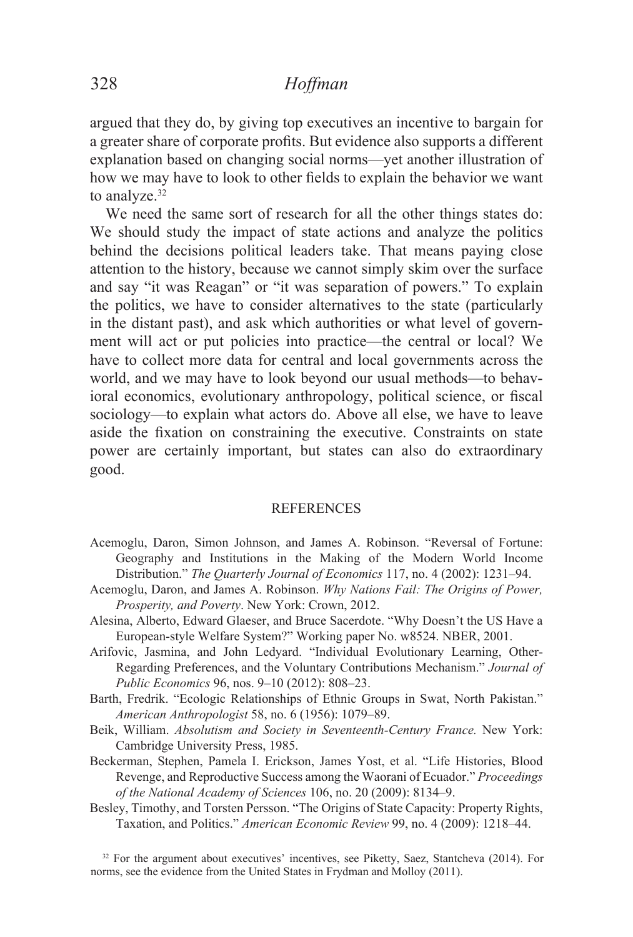argued that they do, by giving top executives an incentive to bargain for a greater share of corporate profits. But evidence also supports a different explanation based on changing social norms—yet another illustration of how we may have to look to other fields to explain the behavior we want to analyze.<sup>32</sup>

We need the same sort of research for all the other things states do: We should study the impact of state actions and analyze the politics behind the decisions political leaders take. That means paying close attention to the history, because we cannot simply skim over the surface and say "it was Reagan" or "it was separation of powers." To explain the politics, we have to consider alternatives to the state (particularly in the distant past), and ask which authorities or what level of government will act or put policies into practice—the central or local? We have to collect more data for central and local governments across the world, and we may have to look beyond our usual methods—to behavioral economics, evolutionary anthropology, political science, or fiscal sociology—to explain what actors do. Above all else, we have to leave aside the fixation on constraining the executive. Constraints on state power are certainly important, but states can also do extraordinary good.

### REFERENCES

- Acemoglu, Daron, Simon Johnson, and James A. Robinson. "Reversal of Fortune: Geography and Institutions in the Making of the Modern World Income Distribution." The Quarterly Journal of Economics 117, no. 4 (2002): 1231–94.
- Acemoglu, Daron, and James A. Robinson. Why Nations Fail: The Origins of Power, *Prosperity, and Poverty. New York: Crown, 2012.*
- Alesina, Alberto, Edward Glaeser, and Bruce Sacerdote. "Why Doesn't the US Have a European-style Welfare System?" Working paper No. w8524. NBER, 2001.
- Arifovic, Jasmina, and John Ledyard. "Individual Evolutionary Learning, Other-Regarding Preferences, and the Voluntary Contributions Mechanism." Journal of *Public Economics* 96, nos. 9–10 (2012): 808–23.
- Barth, Fredrik. "Ecologic Relationships of Ethnic Groups in Swat, North Pakistan." *American Anthropologist* 58, no. 6 (1956): 1079–89.
- Beik, William. *Absolutism and Society in Seventeenth-Century France*. New York: Cambridge University Press, 1985.
- Beckerman, Stephen, Pamela I. Erickson, James Yost, et al. "Life Histories, Blood Revenge, and Reproductive Success among the Waorani of Ecuador." *Proceedings of the National Academy of Sciences* 106, no. 20 (2009): 8134–9.
- Besley, Timothy, and Torsten Persson. "The Origins of State Capacity: Property Rights, Taxation, and Politics." *American Economic Review* 99, no. 4 (2009): 1218–44.

 $32$  For the argument about executives' incentives, see Piketty, Saez, Stantcheva (2014). For norms, see the evidence from the United States in Frydman and Molloy (2011).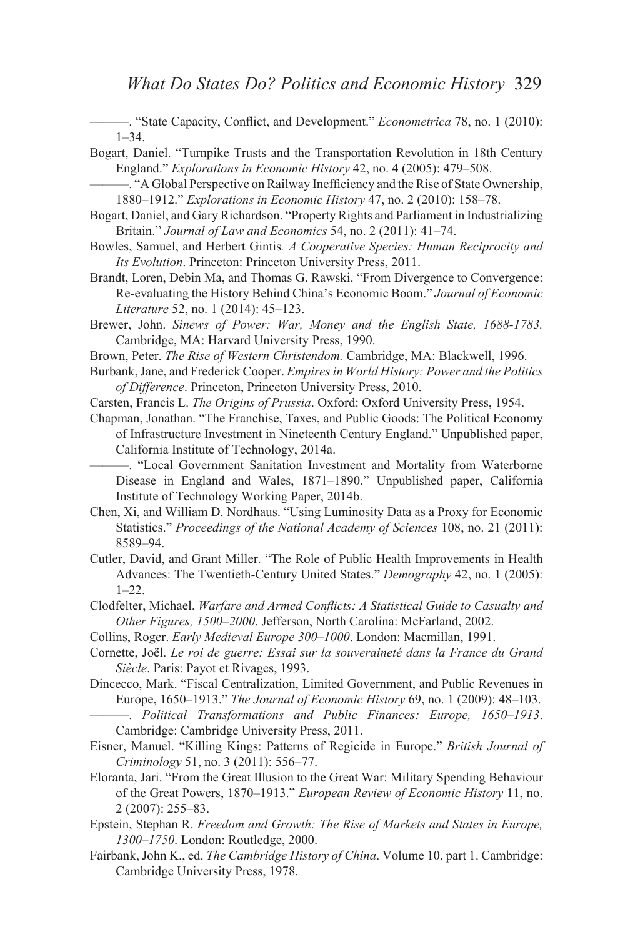<sup>-</sup> "State Capacity, Conflict, and Development." *Econometrica* 78, no. 1 (2010):  $1 - 34$ .

Bogart, Daniel. "Turnpike Trusts and the Transportation Revolution in 18th Century England." *Explorations in Economic History* 42, no. 4 (2005): 479–508.

- -, "A Global Perspective on Railway Inefficiency and the Rise of State Ownership, 1880–1912." *Explorations in Economic History* 47, no. 2 (2010): 158–78.
- Bogart, Daniel, and Gary Richardson. "Property Rights and Parliament in Industrializing Britain." *Journal of Law and Economics* 54, no. 2 (2011): 41–74.
- Bowles, Samuel, and Herbert Gintis. A Cooperative Species: Human Reciprocity and *Its Evolution*. Princeton: Princeton University Press, 2011.
- Brandt, Loren, Debin Ma, and Thomas G. Rawski. "From Divergence to Convergence: Re-evaluating the History Behind China's Economic Boom." Journal of Economic *Literature* 52, no. 1 (2014): 45–123.
- Brewer, John. *Sinews of Power: War, Money and the English State, 1688-1783.* Cambridge, MA: Harvard University Press, 1990.
- Brown, Peter. The Rise of Western Christendom. Cambridge, MA: Blackwell, 1996.
- Burbank, Jane, and Frederick Cooper. *Empires in World History: Power and the Politics of Difference*. Princeton, Princeton University Press, 2010.
- Carsten, Francis L. *The Origins of Prussia*. Oxford: Oxford University Press, 1954.

Chapman, Jonathan. "The Franchise, Taxes, and Public Goods: The Political Economy of Infrastructure Investment in Nineteenth Century England." Unpublished paper, California Institute of Technology, 2014a.

———. "Local Government Sanitation Investment and Mortality from Waterborne Disease in England and Wales, 1871-1890." Unpublished paper, California Institute of Technology Working Paper, 2014b.

- Chen, Xi, and William D. Nordhaus. "Using Luminosity Data as a Proxy for Economic Statistics." *Proceedings of the National Academy of Sciences* 108, no. 21 (2011): 8589–94.
- Cutler, David, and Grant Miller. "The Role of Public Health Improvements in Health Advances: The Twentieth-Century United States." Demography 42, no. 1 (2005):  $1 - 22$ .
- Clodfelter, Michael. Warfare and Armed Conflicts: A Statistical Guide to Casualty and Other Figures, 1500–2000. Jefferson, North Carolina: McFarland, 2002.
- Collins, Roger. Early Medieval Europe 300–1000. London: Macmillan, 1991.
- Cornette, Joël. Le roi de guerre: Essai sur la souveraineté dans la France du Grand *Siècle*. Paris: Payot et Rivages, 1993.
- Dincecco, Mark. "Fiscal Centralization, Limited Government, and Public Revenues in Europe, 1650–1913." *The Journal of Economic History* 69, no. 1 (2009): 48–103.
	- ———. *Political Transformations and Public Finances: Europe, 1650–1913*. Cambridge: Cambridge University Press, 2011.
- Eisner, Manuel. "Killing Kings: Patterns of Regicide in Europe." *British Journal of Criminology* 51, no. 3 (2011): 556–77.
- Eloranta, Jari. "From the Great Illusion to the Great War: Military Spending Behaviour of the Great Powers, 1870–1913." *European Review of Economic History* 11, no. 2 (2007): 255–83.
- Epstein, Stephan R. *Freedom and Growth: The Rise of Markets and States in Europe, 1300–1750*. London: Routledge, 2000.
- Fairbank, John K., ed. *The Cambridge History of China*. Volume 10, part 1. Cambridge: Cambridge University Press, 1978.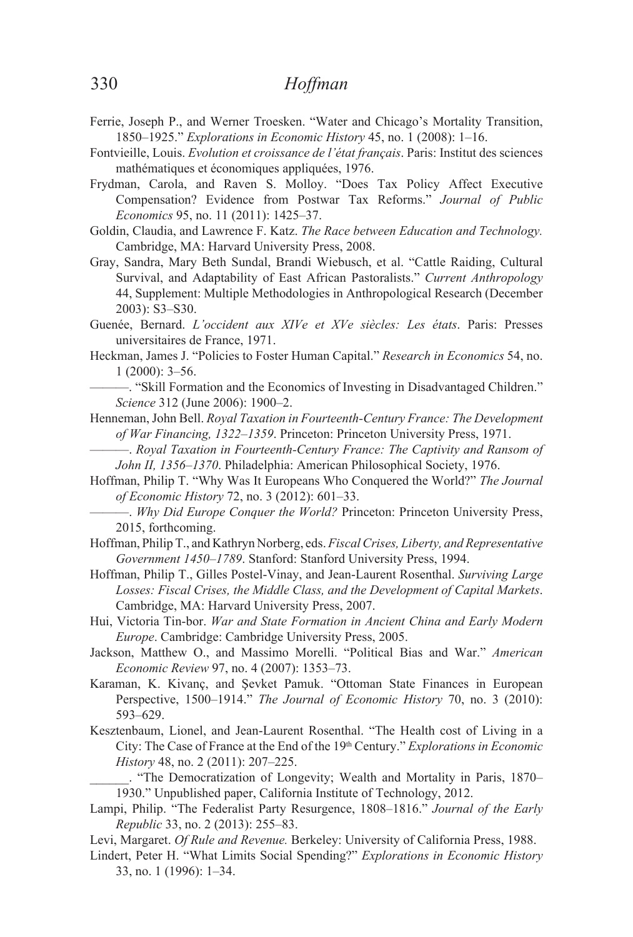- Ferrie, Joseph P., and Werner Troesken. "Water and Chicago's Mortality Transition, 1850–1925." *Explorations in Economic History* 45, no. 1 (2008): 1–16.
- Fontvieille, Louis. *Evolution et croissance de l'état français*. Paris: Institut des sciences mathématiques et économiques appliquées, 1976.
- Frydman, Carola, and Raven S. Molloy. "Does Tax Policy Affect Executive Compensation? Evidence from Postwar Tax Reforms." Journal of Public *Economics* 95, no. 11 (2011): 1425–37.
- Goldin, Claudia, and Lawrence F. Katz. The Race between Education and Technology. Cambridge, MA: Harvard University Press, 2008.
- Gray, Sandra, Mary Beth Sundal, Brandi Wiebusch, et al. "Cattle Raiding, Cultural Survival, and Adaptability of East African Pastoralists." *Current Anthropology* 44, Supplement: Multiple Methodologies in Anthropological Research (December 2003): S3–S30.
- Guenée, Bernard. L'occident aux XIVe et XVe siècles: Les états. Paris: Presses universitaires de France, 1971.
- Heckman, James J. "Policies to Foster Human Capital." Research in Economics 54, no. 1 (2000): 3–56.
	- "Skill Formation and the Economics of Investing in Disadvantaged Children." *Science* 312 (June 2006): 1900–2.
- Henneman, John Bell. Royal Taxation in Fourteenth-Century France: The Development *of War Financing, 1322–1359*. Princeton: Princeton University Press, 1971.
	- ———. *Royal Taxation in Fourteenth-Century France: The Captivity and Ransom of John II, 1356–1370*. Philadelphia: American Philosophical Society, 1976.
- Hoffman, Philip T. "Why Was It Europeans Who Conquered the World?" The Journal *of Economic History* 72, no. 3 (2012): 601–33.
- ———. *Why Did Europe Conquer the World?* Princeton: Princeton University Press, 2015, forthcoming.
- Hoffman, Philip T., and Kathryn Norberg, eds. Fiscal Crises, Liberty, and Representative Government 1450–1789. Stanford: Stanford University Press, 1994.
- Hoffman, Philip T., Gilles Postel-Vinay, and Jean-Laurent Rosenthal. Surviving Large Losses: Fiscal Crises, the Middle Class, and the Development of Capital Markets. Cambridge, MA: Harvard University Press, 2007.
- Hui, Victoria Tin-bor. War and State Formation in Ancient China and Early Modern *Europe*. Cambridge: Cambridge University Press, 2005.
- Jackson, Matthew O., and Massimo Morelli. "Political Bias and War." *American Economic Review* 97, no. 4 (2007): 1353–73.
- Karaman, K. Kivanç, and Şevket Pamuk. "Ottoman State Finances in European Perspective, 1500–1914." *The Journal of Economic History* 70, no. 3 (2010): 593–629.
- Kesztenbaum, Lionel, and Jean-Laurent Rosenthal. "The Health cost of Living in a City: The Case of France at the End of the 19<sup>th</sup> Century." *Explorations in Economic History* 48, no. 2 (2011): 207–225.
	- . "The Democratization of Longevity; Wealth and Mortality in Paris, 1870– 1930." Unpublished paper, California Institute of Technology, 2012.
- Lampi, Philip. "The Federalist Party Resurgence, 1808–1816." *Journal of the Early Republic* 33, no. 2 (2013): 255–83.
- Levi, Margaret. *Of Rule and Revenue*. Berkeley: University of California Press, 1988.
- Lindert, Peter H. "What Limits Social Spending?" *Explorations in Economic History* 33, no. 1 (1996): 1–34.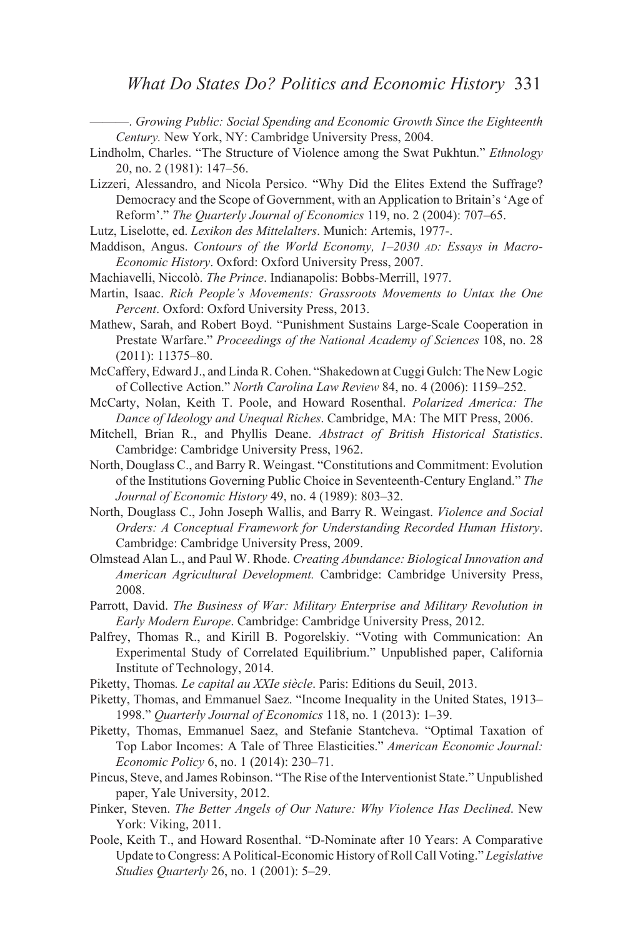—. *Growing Public: Social Spending and Economic Growth Since the Eighteenth Century.* New York, NY: Cambridge University Press, 2004.

- Lindholm, Charles. "The Structure of Violence among the Swat Pukhtun." *Ethnology* 20, no. 2 (1981): 147–56.
- Lizzeri, Alessandro, and Nicola Persico. "Why Did the Elites Extend the Suffrage? Democracy and the Scope of Government, with an Application to Britain's 'Age of Reform'." The Quarterly Journal of Economics 119, no. 2 (2004): 707–65.
- Lutz, Liselotte, ed. *Lexikon des Mittelalters*. Munich: Artemis, 1977-.
- Maddison, Angus. *Contours of the World Economy, 1–2030 AD: Essays in Macro-Economic History.* Oxford: Oxford University Press, 2007.
- Machiavelli, Niccolò. *The Prince*. Indianapolis: Bobbs-Merrill, 1977.
- Martin, Isaac. *Rich People's Movements: Grassroots Movements to Untax the One Percent*. Oxford: Oxford University Press, 2013.
- Mathew, Sarah, and Robert Boyd. "Punishment Sustains Large-Scale Cooperation in Prestate Warfare." *Proceedings of the National Academy of Sciences* 108, no. 28 (2011): 11375–80.
- McCaffery, Edward J., and Linda R. Cohen. "Shakedown at Cuggi Gulch: The New Logic of Collective Action." North Carolina Law Review 84, no. 4 (2006): 1159-252.
- McCarty, Nolan, Keith T. Poole, and Howard Rosenthal. Polarized America: The Dance of Ideology and Unequal Riches. Cambridge, MA: The MIT Press, 2006.
- Mitchell, Brian R., and Phyllis Deane. Abstract of British Historical Statistics. Cambridge: Cambridge University Press, 1962.
- North, Douglass C., and Barry R. Weingast. "Constitutions and Commitment: Evolution of the Institutions Governing Public Choice in Seventeenth-Century England." The *Journal of Economic History* 49, no. 4 (1989): 803–32.
- North, Douglass C., John Joseph Wallis, and Barry R. Weingast. Violence and Social *Orders: A Conceptual Framework for Understanding Recorded Human History.* Cambridge: Cambridge University Press, 2009.
- Olmstead Alan L., and Paul W. Rhode. *Creating Abundance: Biological Innovation and American Agricultural Development.* Cambridge: Cambridge University Press, 2008.
- Parrott, David. The Business of War: Military Enterprise and Military Revolution in *Early Modern Europe*. Cambridge: Cambridge University Press, 2012.
- Palfrey, Thomas R., and Kirill B. Pogorelskiy. "Voting with Communication: An Experimental Study of Correlated Equilibrium." Unpublished paper, California Institute of Technology, 2014.
- Piketty, Thomas. Le capital au XXIe siècle. Paris: Editions du Seuil, 2013.
- Piketty, Thomas, and Emmanuel Saez. "Income Inequality in the United States, 1913– 1998." *Quarterly Journal of Economics* 118, no. 1 (2013): 1–39.
- Piketty, Thomas, Emmanuel Saez, and Stefanie Stantcheva. "Optimal Taxation of Top Labor Incomes: A Tale of Three Elasticities." American Economic Journal: *Economic Policy* 6, no. 1 (2014): 230–71.
- Pincus, Steve, and James Robinson. "The Rise of the Interventionist State." Unpublished paper, Yale University, 2012.
- Pinker, Steven. *The Better Angels of Our Nature: Why Violence Has Declined*. New York: Viking, 2011.
- Poole, Keith T., and Howard Rosenthal. "D-Nominate after 10 Years: A Comparative Update to Congress: A Political-Economic History of Roll Call Voting." Legislative *Studies Quarterly* 26, no. 1 (2001): 5–29.